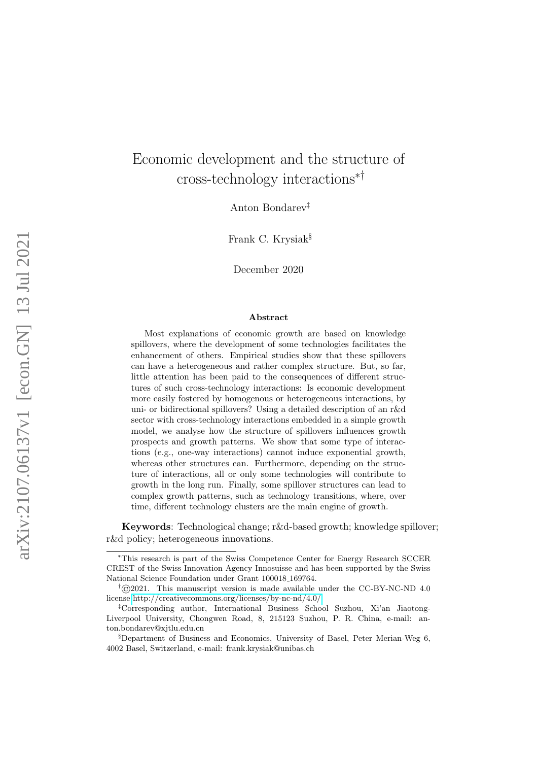# Economic development and the structure of cross-technology interactions∗†

Anton Bondarev‡

Frank C. Krysiak§

December 2020

#### Abstract

Most explanations of economic growth are based on knowledge spillovers, where the development of some technologies facilitates the enhancement of others. Empirical studies show that these spillovers can have a heterogeneous and rather complex structure. But, so far, little attention has been paid to the consequences of different structures of such cross-technology interactions: Is economic development more easily fostered by homogenous or heterogeneous interactions, by uni- or bidirectional spillovers? Using a detailed description of an r&d sector with cross-technology interactions embedded in a simple growth model, we analyse how the structure of spillovers influences growth prospects and growth patterns. We show that some type of interactions (e.g., one-way interactions) cannot induce exponential growth, whereas other structures can. Furthermore, depending on the structure of interactions, all or only some technologies will contribute to growth in the long run. Finally, some spillover structures can lead to complex growth patterns, such as technology transitions, where, over time, different technology clusters are the main engine of growth.

Keywords: Technological change; r&d-based growth; knowledge spillover; r&d policy; heterogeneous innovations.

<sup>∗</sup>This research is part of the Swiss Competence Center for Energy Research SCCER CREST of the Swiss Innovation Agency Innosuisse and has been supported by the Swiss National Science Foundation under Grant 100018 169764.

 $\rm \ddot{f}$  (c)2021. This manuscript version is made available under the CC-BY-NC-ND 4.0 license<http://creativecommons.org/licenses/by-nc-nd/4.0/>

<sup>‡</sup>Corresponding author, International Business School Suzhou, Xi'an Jiaotong-Liverpool University, Chongwen Road, 8, 215123 Suzhou, P. R. China, e-mail: anton.bondarev@xjtlu.edu.cn

<sup>§</sup>Department of Business and Economics, University of Basel, Peter Merian-Weg 6, 4002 Basel, Switzerland, e-mail: frank.krysiak@unibas.ch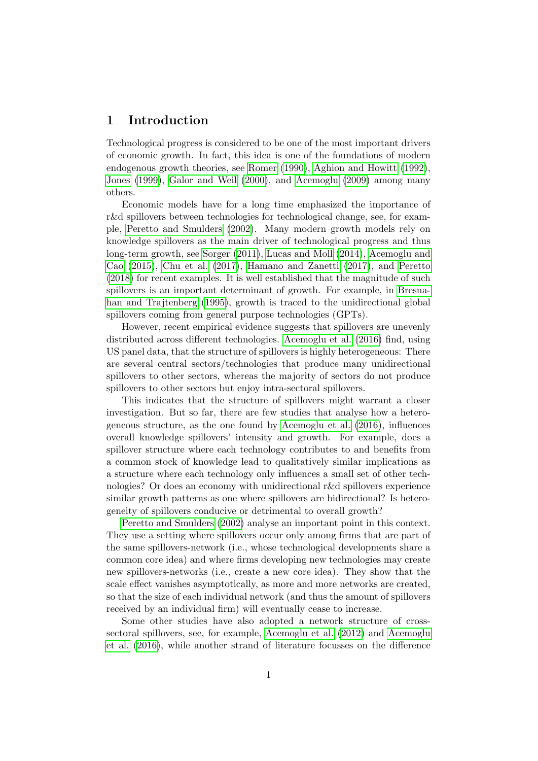## 1 Introduction

Technological progress is considered to be one of the most important drivers of economic growth. In fact, this idea is one of the foundations of modern endogenous growth theories, see [Romer](#page-34-0) [\(1990\)](#page-34-0), [Aghion and Howitt](#page-32-0) [\(1992\)](#page-32-0), [Jones](#page-33-0) [\(1999\)](#page-33-0), [Galor and Weil](#page-33-1) [\(2000\)](#page-33-1), and [Acemoglu](#page-32-1) [\(2009\)](#page-32-1) among many others.

Economic models have for a long time emphasized the importance of r&d spillovers between technologies for technological change, see, for example, [Peretto and Smulders](#page-34-1) [\(2002\)](#page-34-1). Many modern growth models rely on knowledge spillovers as the main driver of technological progress and thus long-term growth, see [Sorger](#page-34-2) [\(2011\)](#page-34-2), [Lucas and Moll](#page-33-2) [\(2014\)](#page-33-2), [Acemoglu and](#page-32-2) [Cao](#page-32-2) [\(2015\)](#page-32-2), [Chu et al.](#page-33-3) [\(2017\)](#page-33-3), [Hamano and Zanetti](#page-33-4) [\(2017\)](#page-33-4), and [Peretto](#page-34-3) [\(2018\)](#page-34-3) for recent examples. It is well established that the magnitude of such spillovers is an important determinant of growth. For example, in [Bresna](#page-33-5)[han and Trajtenberg](#page-33-5) [\(1995\)](#page-33-5), growth is traced to the unidirectional global spillovers coming from general purpose technologies (GPTs).

However, recent empirical evidence suggests that spillovers are unevenly distributed across different technologies. [Acemoglu et al.](#page-32-3) [\(2016\)](#page-32-3) find, using US panel data, that the structure of spillovers is highly heterogeneous: There are several central sectors/technologies that produce many unidirectional spillovers to other sectors, whereas the majority of sectors do not produce spillovers to other sectors but enjoy intra-sectoral spillovers.

This indicates that the structure of spillovers might warrant a closer investigation. But so far, there are few studies that analyse how a heterogeneous structure, as the one found by [Acemoglu et al.](#page-32-3) [\(2016\)](#page-32-3), influences overall knowledge spillovers' intensity and growth. For example, does a spillover structure where each technology contributes to and benefits from a common stock of knowledge lead to qualitatively similar implications as a structure where each technology only influences a small set of other technologies? Or does an economy with unidirectional r&d spillovers experience similar growth patterns as one where spillovers are bidirectional? Is heterogeneity of spillovers conducive or detrimental to overall growth?

[Peretto and Smulders](#page-34-1) [\(2002\)](#page-34-1) analyse an important point in this context. They use a setting where spillovers occur only among firms that are part of the same spillovers-network (i.e., whose technological developments share a common core idea) and where firms developing new technologies may create new spillovers-networks (i.e., create a new core idea). They show that the scale effect vanishes asymptotically, as more and more networks are created, so that the size of each individual network (and thus the amount of spillovers received by an individual firm) will eventually cease to increase.

Some other studies have also adopted a network structure of crosssectoral spillovers, see, for example, [Acemoglu et al.](#page-32-4) [\(2012\)](#page-32-4) and [Acemoglu](#page-32-3) [et al.](#page-32-3) [\(2016\)](#page-32-3), while another strand of literature focusses on the difference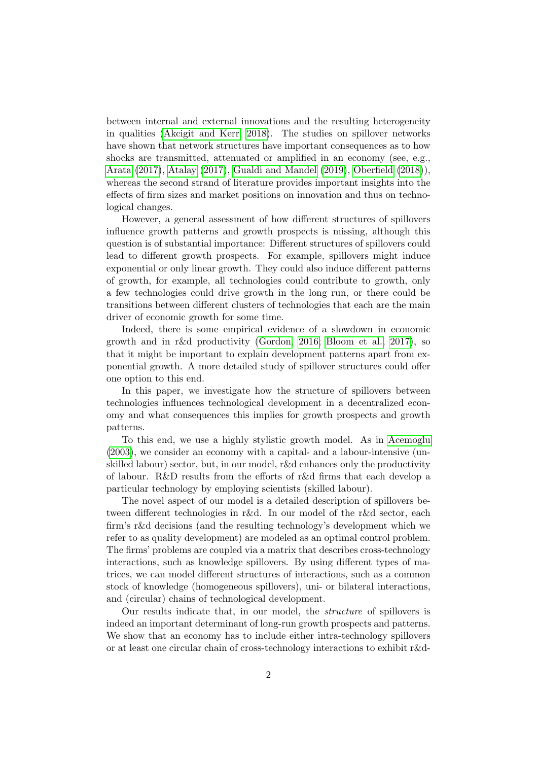between internal and external innovations and the resulting heterogeneity in qualities [\(Akcigit and Kerr, 2018\)](#page-32-5). The studies on spillover networks have shown that network structures have important consequences as to how shocks are transmitted, attenuated or amplified in an economy (see, e.g., [Arata](#page-32-6) [\(2017\)](#page-32-6), [Atalay](#page-32-7) [\(2017\)](#page-32-7), [Gualdi and Mandel](#page-33-6) [\(2019\)](#page-33-6), [Oberfield](#page-34-4) [\(2018\)](#page-34-4)), whereas the second strand of literature provides important insights into the effects of firm sizes and market positions on innovation and thus on technological changes.

However, a general assessment of how different structures of spillovers influence growth patterns and growth prospects is missing, although this question is of substantial importance: Different structures of spillovers could lead to different growth prospects. For example, spillovers might induce exponential or only linear growth. They could also induce different patterns of growth, for example, all technologies could contribute to growth, only a few technologies could drive growth in the long run, or there could be transitions between different clusters of technologies that each are the main driver of economic growth for some time.

Indeed, there is some empirical evidence of a slowdown in economic growth and in r&d productivity [\(Gordon, 2016;](#page-33-7) [Bloom et al., 2017\)](#page-33-8), so that it might be important to explain development patterns apart from exponential growth. A more detailed study of spillover structures could offer one option to this end.

In this paper, we investigate how the structure of spillovers between technologies influences technological development in a decentralized economy and what consequences this implies for growth prospects and growth patterns.

To this end, we use a highly stylistic growth model. As in [Acemoglu](#page-32-8) [\(2003\)](#page-32-8), we consider an economy with a capital- and a labour-intensive (unskilled labour) sector, but, in our model, r&d enhances only the productivity of labour. R&D results from the efforts of r&d firms that each develop a particular technology by employing scientists (skilled labour).

The novel aspect of our model is a detailed description of spillovers between different technologies in r&d. In our model of the r&d sector, each firm's r&d decisions (and the resulting technology's development which we refer to as quality development) are modeled as an optimal control problem. The firms' problems are coupled via a matrix that describes cross-technology interactions, such as knowledge spillovers. By using different types of matrices, we can model different structures of interactions, such as a common stock of knowledge (homogeneous spillovers), uni- or bilateral interactions, and (circular) chains of technological development.

Our results indicate that, in our model, the structure of spillovers is indeed an important determinant of long-run growth prospects and patterns. We show that an economy has to include either intra-technology spillovers or at least one circular chain of cross-technology interactions to exhibit r&d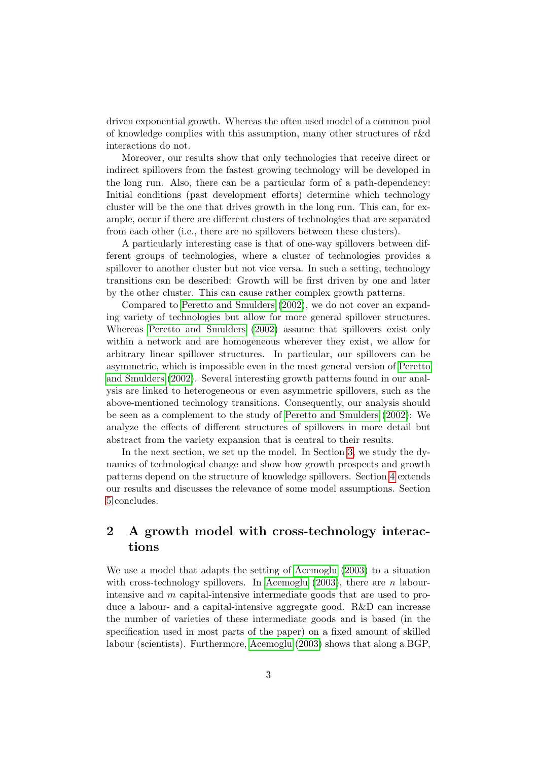driven exponential growth. Whereas the often used model of a common pool of knowledge complies with this assumption, many other structures of r&d interactions do not.

Moreover, our results show that only technologies that receive direct or indirect spillovers from the fastest growing technology will be developed in the long run. Also, there can be a particular form of a path-dependency: Initial conditions (past development efforts) determine which technology cluster will be the one that drives growth in the long run. This can, for example, occur if there are different clusters of technologies that are separated from each other (i.e., there are no spillovers between these clusters).

A particularly interesting case is that of one-way spillovers between different groups of technologies, where a cluster of technologies provides a spillover to another cluster but not vice versa. In such a setting, technology transitions can be described: Growth will be first driven by one and later by the other cluster. This can cause rather complex growth patterns.

Compared to [Peretto and Smulders](#page-34-1) [\(2002\)](#page-34-1), we do not cover an expanding variety of technologies but allow for more general spillover structures. Whereas [Peretto and Smulders](#page-34-1) [\(2002\)](#page-34-1) assume that spillovers exist only within a network and are homogeneous wherever they exist, we allow for arbitrary linear spillover structures. In particular, our spillovers can be asymmetric, which is impossible even in the most general version of [Peretto](#page-34-1) [and Smulders](#page-34-1) [\(2002\)](#page-34-1). Several interesting growth patterns found in our analysis are linked to heterogeneous or even asymmetric spillovers, such as the above-mentioned technology transitions. Consequently, our analysis should be seen as a complement to the study of [Peretto and Smulders](#page-34-1) [\(2002\)](#page-34-1): We analyze the effects of different structures of spillovers in more detail but abstract from the variety expansion that is central to their results.

In the next section, we set up the model. In Section [3,](#page-8-0) we study the dynamics of technological change and show how growth prospects and growth patterns depend on the structure of knowledge spillovers. Section [4](#page-25-0) extends our results and discusses the relevance of some model assumptions. Section [5](#page-28-0) concludes.

# <span id="page-3-0"></span>2 A growth model with cross-technology interactions

We use a model that adapts the setting of [Acemoglu](#page-32-8) [\(2003\)](#page-32-8) to a situation with cross-technology spillovers. In [Acemoglu](#page-32-8) [\(2003\)](#page-32-8), there are n labourintensive and m capital-intensive intermediate goods that are used to produce a labour- and a capital-intensive aggregate good. R&D can increase the number of varieties of these intermediate goods and is based (in the specification used in most parts of the paper) on a fixed amount of skilled labour (scientists). Furthermore, [Acemoglu](#page-32-8) [\(2003\)](#page-32-8) shows that along a BGP,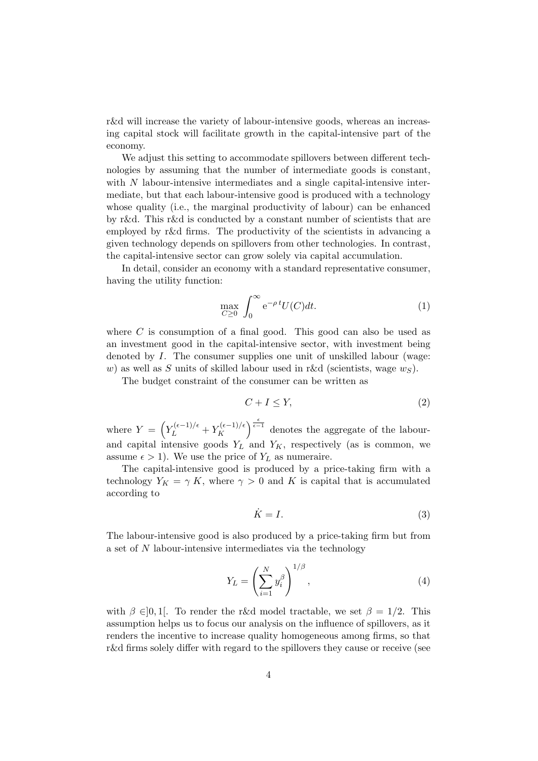r&d will increase the variety of labour-intensive goods, whereas an increasing capital stock will facilitate growth in the capital-intensive part of the economy.

We adjust this setting to accommodate spillovers between different technologies by assuming that the number of intermediate goods is constant, with  $N$  labour-intensive intermediates and a single capital-intensive intermediate, but that each labour-intensive good is produced with a technology whose quality (i.e., the marginal productivity of labour) can be enhanced by r&d. This r&d is conducted by a constant number of scientists that are employed by r&d firms. The productivity of the scientists in advancing a given technology depends on spillovers from other technologies. In contrast, the capital-intensive sector can grow solely via capital accumulation.

In detail, consider an economy with a standard representative consumer, having the utility function:

$$
\max_{C \ge 0} \int_0^\infty e^{-\rho \, t} U(C) dt.
$$
 (1)

where  $C$  is consumption of a final good. This good can also be used as an investment good in the capital-intensive sector, with investment being denoted by I. The consumer supplies one unit of unskilled labour (wage: w) as well as S units of skilled labour used in r&d (scientists, wage  $w<sub>S</sub>$ ).

The budget constraint of the consumer can be written as

$$
C + I \le Y,\tag{2}
$$

where  $Y = \left(Y_L^{(\epsilon-1)/\epsilon} + Y_K^{(\epsilon-1)/\epsilon}\right)$  $\kappa^{(\epsilon-1)/\epsilon\choose K}$  denotes the aggregate of the labourand capital intensive goods  $Y_L$  and  $Y_K$ , respectively (as is common, we assume  $\epsilon > 1$ ). We use the price of  $Y_L$  as numeraire.

The capital-intensive good is produced by a price-taking firm with a technology  $Y_K = \gamma K$ , where  $\gamma > 0$  and K is capital that is accumulated according to

<span id="page-4-0"></span>
$$
\dot{K} = I. \tag{3}
$$

The labour-intensive good is also produced by a price-taking firm but from a set of N labour-intensive intermediates via the technology

$$
Y_L = \left(\sum_{i=1}^N y_i^{\beta}\right)^{1/\beta},\tag{4}
$$

with  $\beta \in ]0,1[$ . To render the r&d model tractable, we set  $\beta = 1/2$ . This assumption helps us to focus our analysis on the influence of spillovers, as it renders the incentive to increase quality homogeneous among firms, so that r&d firms solely differ with regard to the spillovers they cause or receive (see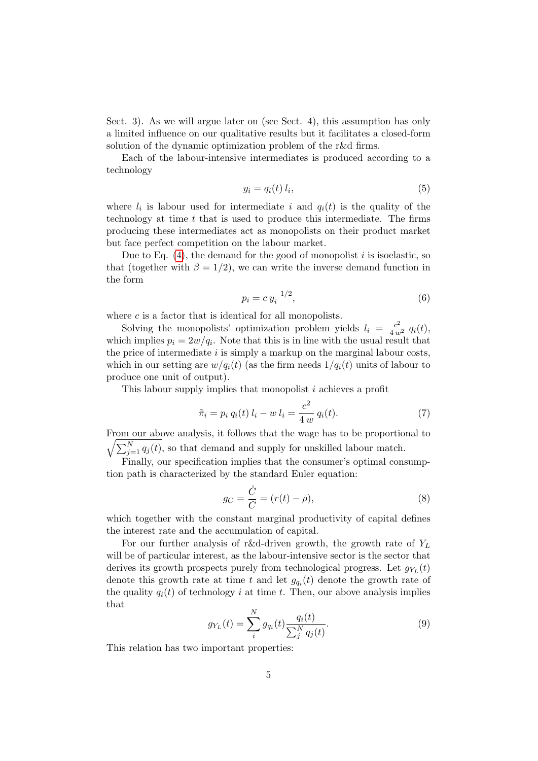Sect. 3). As we will argue later on (see Sect. 4), this assumption has only a limited influence on our qualitative results but it facilitates a closed-form solution of the dynamic optimization problem of the r&d firms.

Each of the labour-intensive intermediates is produced according to a technology

$$
y_i = q_i(t) l_i,\tag{5}
$$

where  $l_i$  is labour used for intermediate i and  $q_i(t)$  is the quality of the technology at time  $t$  that is used to produce this intermediate. The firms producing these intermediates act as monopolists on their product market but face perfect competition on the labour market.

Due to Eq.  $(4)$ , the demand for the good of monopolist i is isoelastic, so that (together with  $\beta = 1/2$ ), we can write the inverse demand function in the form

<span id="page-5-1"></span>
$$
p_i = c y_i^{-1/2},
$$
\n(6)

where  $c$  is a factor that is identical for all monopolists.

Solving the monopolists' optimization problem yields  $l_i = \frac{c^2}{4 w^2} q_i(t)$ , which implies  $p_i = 2w/q_i$ . Note that this is in line with the usual result that the price of intermediate  $i$  is simply a markup on the marginal labour costs, which in our setting are  $w/q_i(t)$  (as the firm needs  $1/q_i(t)$  units of labour to produce one unit of output).

This labour supply implies that monopolist i achieves a profit

$$
\tilde{\pi}_i = p_i q_i(t) l_i - w l_i = \frac{c^2}{4 w} q_i(t).
$$
\n(7)

From our above analysis, it follows that the wage has to be proportional to  $\sqrt{\sum_{j=1}^{N} q_j(t)}$ , so that demand and supply for unskilled labour match.

Finally, our specification implies that the consumer's optimal consumption path is characterized by the standard Euler equation:

$$
g_C = \frac{\dot{C}}{C} = (r(t) - \rho),\tag{8}
$$

which together with the constant marginal productivity of capital defines the interest rate and the accumulation of capital.

For our further analysis of r&d-driven growth, the growth rate of  $Y_L$ will be of particular interest, as the labour-intensive sector is the sector that derives its growth prospects purely from technological progress. Let  $g_{Y_L}(t)$ denote this growth rate at time t and let  $g_{q_i}(t)$  denote the growth rate of the quality  $q_i(t)$  of technology i at time t. Then, our above analysis implies that

<span id="page-5-0"></span>
$$
g_{Y_L}(t) = \sum_{i}^{N} g_{q_i}(t) \frac{q_i(t)}{\sum_{j}^{N} q_j(t)}.
$$
\n(9)

This relation has two important properties: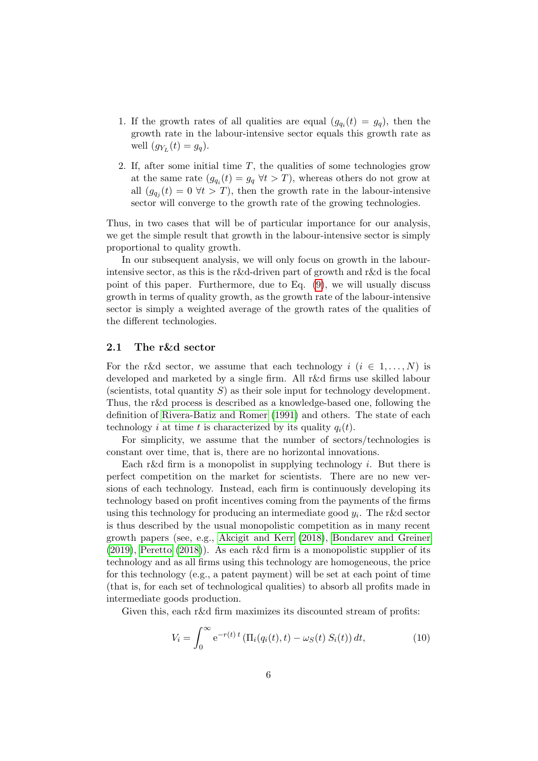- 1. If the growth rates of all qualities are equal  $(g_{q_i}(t) = g_q)$ , then the growth rate in the labour-intensive sector equals this growth rate as well  $(g_{Y_L}(t) = g_q)$ .
- 2. If, after some initial time  $T$ , the qualities of some technologies grow at the same rate  $(g_{q_i}(t) = g_q \,\forall t > T)$ , whereas others do not grow at all  $(g_{q_j}(t) = 0 \forall t > T)$ , then the growth rate in the labour-intensive sector will converge to the growth rate of the growing technologies.

Thus, in two cases that will be of particular importance for our analysis, we get the simple result that growth in the labour-intensive sector is simply proportional to quality growth.

In our subsequent analysis, we will only focus on growth in the labourintensive sector, as this is the r&d-driven part of growth and r&d is the focal point of this paper. Furthermore, due to Eq. [\(9\)](#page-5-0), we will usually discuss growth in terms of quality growth, as the growth rate of the labour-intensive sector is simply a weighted average of the growth rates of the qualities of the different technologies.

#### 2.1 The r&d sector

For the r&d sector, we assume that each technology  $i$   $(i \in 1, ..., N)$  is developed and marketed by a single firm. All r&d firms use skilled labour (scientists, total quantity  $S$ ) as their sole input for technology development. Thus, the r&d process is described as a knowledge-based one, following the definition of [Rivera-Batiz and Romer](#page-34-5) [\(1991\)](#page-34-5) and others. The state of each technology i at time t is characterized by its quality  $q_i(t)$ .

For simplicity, we assume that the number of sectors/technologies is constant over time, that is, there are no horizontal innovations.

Each r&d firm is a monopolist in supplying technology  $i$ . But there is perfect competition on the market for scientists. There are no new versions of each technology. Instead, each firm is continuously developing its technology based on profit incentives coming from the payments of the firms using this technology for producing an intermediate good  $y_i$ . The r&d sector is thus described by the usual monopolistic competition as in many recent growth papers (see, e.g., [Akcigit and Kerr](#page-32-5) [\(2018\)](#page-32-5), [Bondarev and Greiner](#page-33-9) [\(2019\)](#page-33-9), [Peretto](#page-34-3) [\(2018\)](#page-34-3)). As each r&d firm is a monopolistic supplier of its technology and as all firms using this technology are homogeneous, the price for this technology (e.g., a patent payment) will be set at each point of time (that is, for each set of technological qualities) to absorb all profits made in intermediate goods production.

Given this, each r&d firm maximizes its discounted stream of profits:

$$
V_i = \int_0^\infty e^{-r(t)t} \left( \Pi_i(q_i(t), t) - \omega_S(t) S_i(t) \right) dt,\tag{10}
$$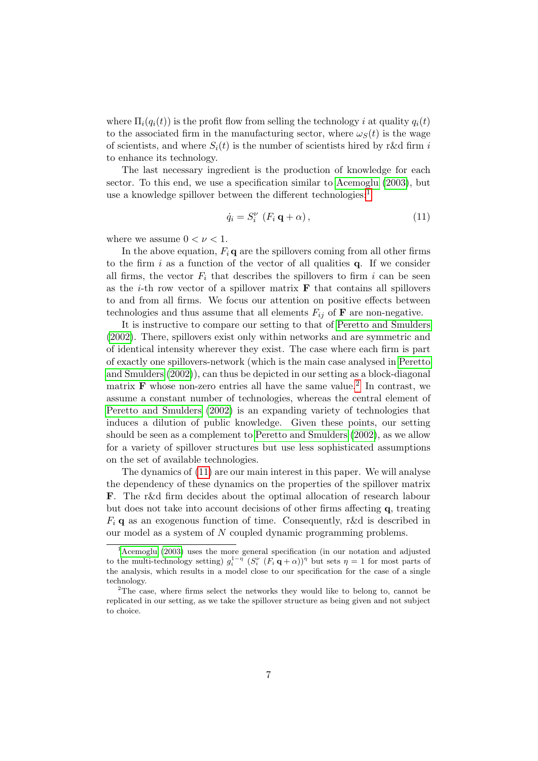where  $\Pi_i(q_i(t))$  is the profit flow from selling the technology i at quality  $q_i(t)$ to the associated firm in the manufacturing sector, where  $\omega_{S}(t)$  is the wage of scientists, and where  $S_i(t)$  is the number of scientists hired by r&d firm i to enhance its technology.

The last necessary ingredient is the production of knowledge for each sector. To this end, we use a specification similar to [Acemoglu](#page-32-8) [\(2003\)](#page-32-8), but use a knowledge spillover between the different technologies:<sup>[1](#page-7-0)</sup>

<span id="page-7-2"></span>
$$
\dot{q}_i = S_i^{\nu} \left( F_i \, \mathbf{q} + \alpha \right), \tag{11}
$$

where we assume  $0 < \nu < 1$ .

In the above equation,  $F_i \mathbf{q}$  are the spillovers coming from all other firms to the firm  $i$  as a function of the vector of all qualities  $q$ . If we consider all firms, the vector  $F_i$  that describes the spillovers to firm i can be seen as the *i*-th row vector of a spillover matrix  $\bf{F}$  that contains all spillovers to and from all firms. We focus our attention on positive effects between technologies and thus assume that all elements  $F_{ij}$  of **F** are non-negative.

It is instructive to compare our setting to that of [Peretto and Smulders](#page-34-1) [\(2002\)](#page-34-1). There, spillovers exist only within networks and are symmetric and of identical intensity wherever they exist. The case where each firm is part of exactly one spillovers-network (which is the main case analysed in [Peretto](#page-34-1) [and Smulders](#page-34-1) [\(2002\)](#page-34-1)), can thus be depicted in our setting as a block-diagonal matrix **F** whose non-zero entries all have the same value.<sup>[2](#page-7-1)</sup> In contrast, we assume a constant number of technologies, whereas the central element of [Peretto and Smulders](#page-34-1) [\(2002\)](#page-34-1) is an expanding variety of technologies that induces a dilution of public knowledge. Given these points, our setting should be seen as a complement to [Peretto and Smulders](#page-34-1) [\(2002\)](#page-34-1), as we allow for a variety of spillover structures but use less sophisticated assumptions on the set of available technologies.

The dynamics of [\(11\)](#page-7-2) are our main interest in this paper. We will analyse the dependency of these dynamics on the properties of the spillover matrix F. The r&d firm decides about the optimal allocation of research labour but does not take into account decisions of other firms affecting q, treating  $F_i$ **q** as an exogenous function of time. Consequently, r&d is described in our model as a system of N coupled dynamic programming problems.

<span id="page-7-0"></span><sup>&</sup>lt;sup>1</sup>[Acemoglu](#page-32-8) [\(2003\)](#page-32-8) uses the more general specification (in our notation and adjusted to the multi-technology setting)  $g_i^{1-\eta}$   $(S_i^{\nu} (F_i \mathbf{q} + \alpha))^{\eta}$  but sets  $\eta = 1$  for most parts of the analysis, which results in a model close to our specification for the case of a single technology.

<span id="page-7-1"></span><sup>&</sup>lt;sup>2</sup>The case, where firms select the networks they would like to belong to, cannot be replicated in our setting, as we take the spillover structure as being given and not subject to choice.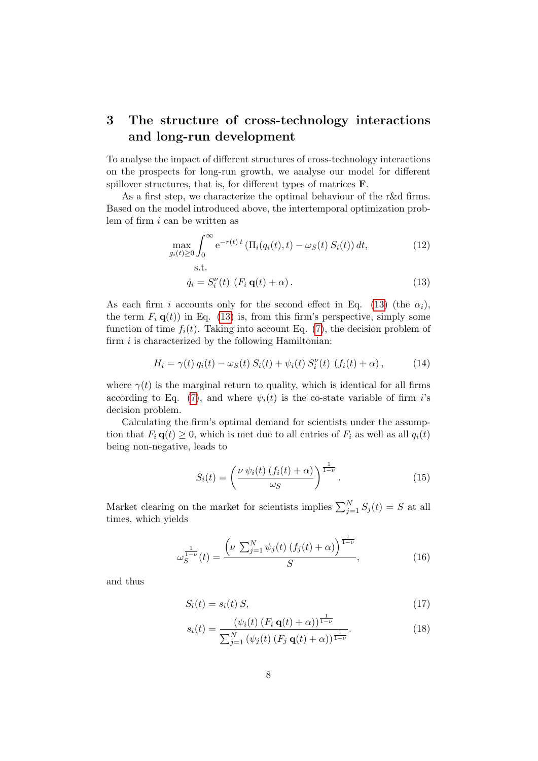# <span id="page-8-0"></span>3 The structure of cross-technology interactions and long-run development

To analyse the impact of different structures of cross-technology interactions on the prospects for long-run growth, we analyse our model for different spillover structures, that is, for different types of matrices F.

As a first step, we characterize the optimal behaviour of the r&d firms. Based on the model introduced above, the intertemporal optimization problem of firm i can be written as

$$
\max_{g_i(t)\geq 0} \int_0^\infty e^{-r(t)t} \left( \Pi_i(q_i(t),t) - \omega_S(t) S_i(t) \right) dt,\tag{12}
$$

$$
\dot{q}_i = S_i^{\nu}(t) \left( F_i \mathbf{q}(t) + \alpha \right). \tag{13}
$$

As each firm i accounts only for the second effect in Eq. [\(13\)](#page-8-1) (the  $\alpha_i$ ), the term  $F_i \mathbf{q}(t)$  in Eq. [\(13\)](#page-8-1) is, from this firm's perspective, simply some function of time  $f_i(t)$ . Taking into account Eq. [\(7\)](#page-5-1), the decision problem of firm  $i$  is characterized by the following Hamiltonian:

<span id="page-8-1"></span>s.t.

<span id="page-8-2"></span>
$$
H_i = \gamma(t) q_i(t) - \omega_S(t) S_i(t) + \psi_i(t) S_i^{\nu}(t) (f_i(t) + \alpha), \qquad (14)
$$

where  $\gamma(t)$  is the marginal return to quality, which is identical for all firms according to Eq. [\(7\)](#page-5-1), and where  $\psi_i(t)$  is the co-state variable of firm is decision problem.

Calculating the firm's optimal demand for scientists under the assumption that  $F_i \mathbf{q}(t) \geq 0$ , which is met due to all entries of  $F_i$  as well as all  $q_i(t)$ being non-negative, leads to

$$
S_i(t) = \left(\frac{\nu \psi_i(t) \left(f_i(t) + \alpha\right)}{\omega_S}\right)^{\frac{1}{1-\nu}}.\tag{15}
$$

Market clearing on the market for scientists implies  $\sum_{j=1}^{N} S_j(t) = S$  at all times, which yields

$$
\omega_S^{\frac{1}{1-\nu}}(t) = \frac{\left(\nu \sum_{j=1}^N \psi_j(t) \left(f_j(t) + \alpha\right)\right)^{\frac{1}{1-\nu}}}{S},\tag{16}
$$

and thus

$$
S_i(t) = s_i(t) S, \tag{17}
$$

1

$$
s_i(t) = \frac{\left(\psi_i(t) \left(F_i \mathbf{q}(t) + \alpha\right)\right)^{\frac{1}{1-\nu}}}{\sum_{j=1}^N \left(\psi_j(t) \left(F_j \mathbf{q}(t) + \alpha\right)\right)^{\frac{1}{1-\nu}}}.
$$
\n(18)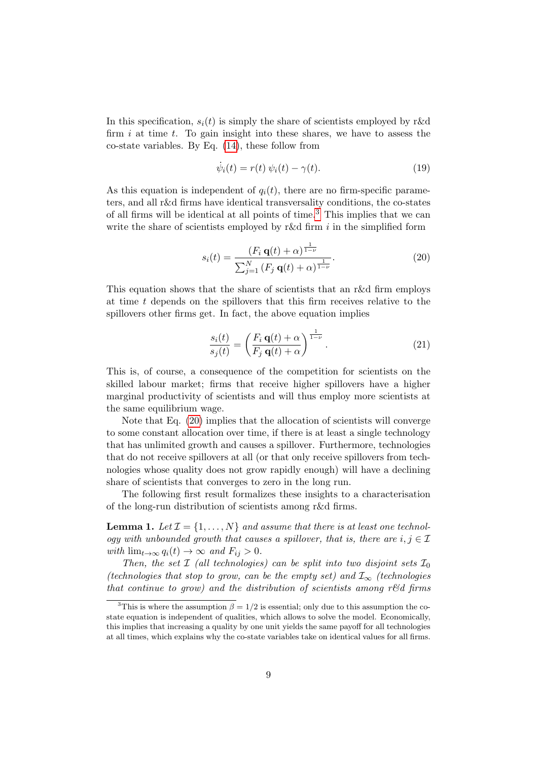In this specification,  $s_i(t)$  is simply the share of scientists employed by r&d firm  $i$  at time  $t$ . To gain insight into these shares, we have to assess the co-state variables. By Eq. [\(14\)](#page-8-2), these follow from

$$
\dot{\psi}_i(t) = r(t)\,\psi_i(t) - \gamma(t). \tag{19}
$$

As this equation is independent of  $q_i(t)$ , there are no firm-specific parameters, and all r&d firms have identical transversality conditions, the co-states of all firms will be identical at all points of time.<sup>[3](#page-9-0)</sup> This implies that we can write the share of scientists employed by r&d firm  $i$  in the simplified form

<span id="page-9-1"></span>
$$
s_i(t) = \frac{(F_i \mathbf{q}(t) + \alpha)^{\frac{1}{1-\nu}}}{\sum_{j=1}^{N} (F_j \mathbf{q}(t) + \alpha)^{\frac{1}{1-\nu}}}.
$$
\n(20)

This equation shows that the share of scientists that an r&d firm employs at time t depends on the spillovers that this firm receives relative to the spillovers other firms get. In fact, the above equation implies

$$
\frac{s_i(t)}{s_j(t)} = \left(\frac{F_i \mathbf{q}(t) + \alpha}{F_j \mathbf{q}(t) + \alpha}\right)^{\frac{1}{1-\nu}}.\tag{21}
$$

This is, of course, a consequence of the competition for scientists on the skilled labour market; firms that receive higher spillovers have a higher marginal productivity of scientists and will thus employ more scientists at the same equilibrium wage.

Note that Eq. [\(20\)](#page-9-1) implies that the allocation of scientists will converge to some constant allocation over time, if there is at least a single technology that has unlimited growth and causes a spillover. Furthermore, technologies that do not receive spillovers at all (or that only receive spillovers from technologies whose quality does not grow rapidly enough) will have a declining share of scientists that converges to zero in the long run.

The following first result formalizes these insights to a characterisation of the long-run distribution of scientists among r&d firms.

<span id="page-9-2"></span>**Lemma 1.** Let  $\mathcal{I} = \{1, ..., N\}$  and assume that there is at least one technology with unbounded growth that causes a spillover, that is, there are  $i, j \in \mathcal{I}$ with  $\lim_{t\to\infty} q_i(t) \to \infty$  and  $F_{ij} > 0$ .

Then, the set  $\mathcal I$  (all technologies) can be split into two disjoint sets  $\mathcal I_0$ (technologies that stop to grow, can be the empty set) and  $\mathcal{I}_{\infty}$  (technologies that continue to grow) and the distribution of scientists among r $\mathcal{C}d$  firms

<span id="page-9-0"></span><sup>&</sup>lt;sup>3</sup>This is where the assumption  $\beta = 1/2$  is essential; only due to this assumption the costate equation is independent of qualities, which allows to solve the model. Economically, this implies that increasing a quality by one unit yields the same payoff for all technologies at all times, which explains why the co-state variables take on identical values for all firms.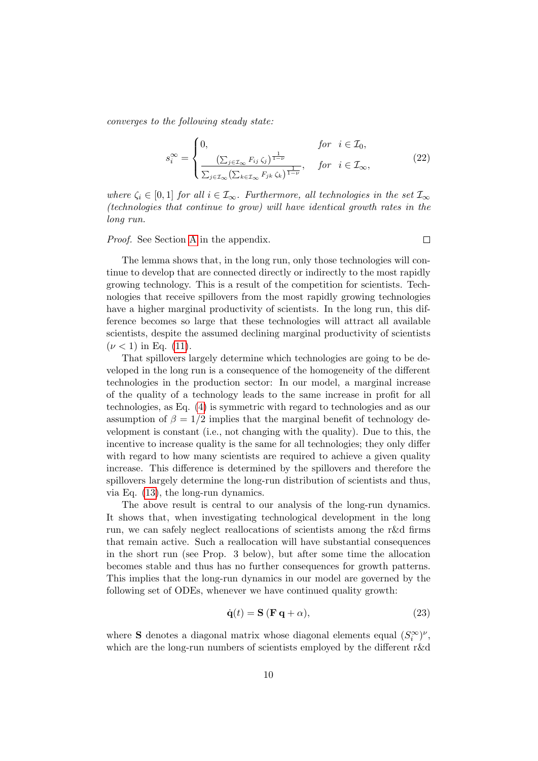converges to the following steady state:

<span id="page-10-1"></span>
$$
s_i^{\infty} = \begin{cases} 0, & \text{for } i \in \mathcal{I}_0, \\ \frac{\left(\sum_{j \in \mathcal{I}_{\infty}} F_{ij} \zeta_j\right)^{\frac{1}{1-\nu}}}{\sum_{j \in \mathcal{I}_{\infty}} \left(\sum_{k \in \mathcal{I}_{\infty}} F_{jk} \zeta_k\right)^{\frac{1}{1-\nu}}}, & \text{for } i \in \mathcal{I}_{\infty}, \end{cases} (22)
$$

where  $\zeta_i \in [0,1]$  for all  $i \in \mathcal{I}_{\infty}$ . Furthermore, all technologies in the set  $\mathcal{I}_{\infty}$ (technologies that continue to grow) will have identical growth rates in the long run.

Proof. See Section [A](#page-29-0) in the appendix.

 $\Box$ 

The lemma shows that, in the long run, only those technologies will continue to develop that are connected directly or indirectly to the most rapidly growing technology. This is a result of the competition for scientists. Technologies that receive spillovers from the most rapidly growing technologies have a higher marginal productivity of scientists. In the long run, this difference becomes so large that these technologies will attract all available scientists, despite the assumed declining marginal productivity of scientists  $(\nu < 1)$  in Eq. [\(11\)](#page-7-2).

That spillovers largely determine which technologies are going to be developed in the long run is a consequence of the homogeneity of the different technologies in the production sector: In our model, a marginal increase of the quality of a technology leads to the same increase in profit for all technologies, as Eq. [\(4\)](#page-4-0) is symmetric with regard to technologies and as our assumption of  $\beta = 1/2$  implies that the marginal benefit of technology development is constant (i.e., not changing with the quality). Due to this, the incentive to increase quality is the same for all technologies; they only differ with regard to how many scientists are required to achieve a given quality increase. This difference is determined by the spillovers and therefore the spillovers largely determine the long-run distribution of scientists and thus, via Eq. [\(13\)](#page-8-1), the long-run dynamics.

The above result is central to our analysis of the long-run dynamics. It shows that, when investigating technological development in the long run, we can safely neglect reallocations of scientists among the r&d firms that remain active. Such a reallocation will have substantial consequences in the short run (see Prop. 3 below), but after some time the allocation becomes stable and thus has no further consequences for growth patterns. This implies that the long-run dynamics in our model are governed by the following set of ODEs, whenever we have continued quality growth:

<span id="page-10-0"></span>
$$
\dot{\mathbf{q}}(t) = \mathbf{S} (\mathbf{F} \, \mathbf{q} + \alpha), \tag{23}
$$

where **S** denotes a diagonal matrix whose diagonal elements equal  $(S_i^{\infty})^{\nu}$ , which are the long-run numbers of scientists employed by the different r&d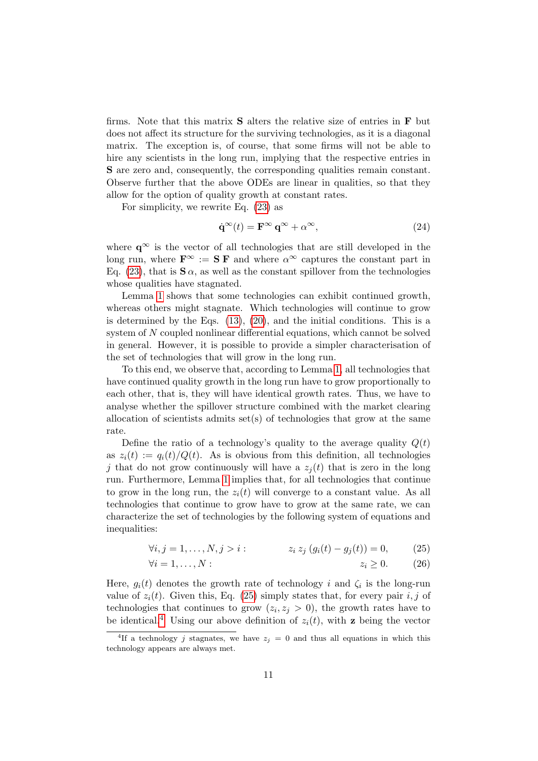firms. Note that this matrix  $S$  alters the relative size of entries in  $F$  but does not affect its structure for the surviving technologies, as it is a diagonal matrix. The exception is, of course, that some firms will not be able to hire any scientists in the long run, implying that the respective entries in S are zero and, consequently, the corresponding qualities remain constant. Observe further that the above ODEs are linear in qualities, so that they allow for the option of quality growth at constant rates.

For simplicity, we rewrite Eq. [\(23\)](#page-10-0) as

<span id="page-11-2"></span>
$$
\dot{\mathbf{q}}^{\infty}(t) = \mathbf{F}^{\infty} \mathbf{q}^{\infty} + \alpha^{\infty}, \tag{24}
$$

where  $q^{\infty}$  is the vector of all technologies that are still developed in the long run, where  $\mathbf{F}^{\infty} := \mathbf{S} \mathbf{F}$  and where  $\alpha^{\infty}$  captures the constant part in Eq. [\(23\)](#page-10-0), that is  $S \alpha$ , as well as the constant spillover from the technologies whose qualities have stagnated.

Lemma [1](#page-9-2) shows that some technologies can exhibit continued growth, whereas others might stagnate. Which technologies will continue to grow is determined by the Eqs. [\(13\)](#page-8-1), [\(20\)](#page-9-1), and the initial conditions. This is a system of N coupled nonlinear differential equations, which cannot be solved in general. However, it is possible to provide a simpler characterisation of the set of technologies that will grow in the long run.

To this end, we observe that, according to Lemma [1,](#page-9-2) all technologies that have continued quality growth in the long run have to grow proportionally to each other, that is, they will have identical growth rates. Thus, we have to analyse whether the spillover structure combined with the market clearing allocation of scientists admits set(s) of technologies that grow at the same rate.

Define the ratio of a technology's quality to the average quality  $Q(t)$ as  $z_i(t) := q_i(t)/Q(t)$ . As is obvious from this definition, all technologies j that do not grow continuously will have a  $z_i(t)$  that is zero in the long run. Furthermore, Lemma [1](#page-9-2) implies that, for all technologies that continue to grow in the long run, the  $z_i(t)$  will converge to a constant value. As all technologies that continue to grow have to grow at the same rate, we can characterize the set of technologies by the following system of equations and inequalities:

$$
\forall i, j = 1, ..., N, j > i: \qquad z_i \, z_j \, (g_i(t) - g_j(t)) = 0, \qquad (25)
$$

<span id="page-11-3"></span><span id="page-11-0"></span>
$$
\forall i = 1, \dots, N: \qquad \qquad z_i \ge 0. \qquad (26)
$$

Here,  $g_i(t)$  denotes the growth rate of technology i and  $\zeta_i$  is the long-run value of  $z_i(t)$ . Given this, Eq. [\(25\)](#page-11-0) simply states that, for every pair i, j of technologies that continues to grow  $(z_i, z_j > 0)$ , the growth rates have to be identical.<sup>[4](#page-11-1)</sup> Using our above definition of  $z_i(t)$ , with **z** being the vector

<span id="page-11-1"></span><sup>&</sup>lt;sup>4</sup>If a technology j stagnates, we have  $z_j = 0$  and thus all equations in which this technology appears are always met.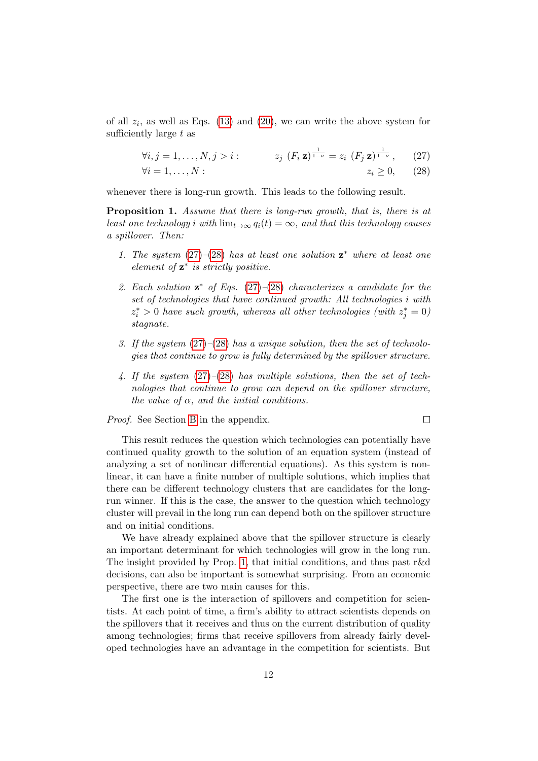of all  $z_i$ , as well as Eqs. [\(13\)](#page-8-1) and [\(20\)](#page-9-1), we can write the above system for sufficiently large  $t$  as

$$
\forall i, j = 1, ..., N, j > i : \qquad z_j \ (F_i \mathbf{z})^{\frac{1}{1-\nu}} = z_i \ (F_j \mathbf{z})^{\frac{1}{1-\nu}}, \qquad (27)
$$

$$
\forall i = 1, ..., N : \qquad z_i \ge 0, \qquad (28)
$$

whenever there is long-run growth. This leads to the following result.

<span id="page-12-2"></span>Proposition 1. Assume that there is long-run growth, that is, there is at least one technology i with  $\lim_{t\to\infty} q_i(t) = \infty$ , and that this technology causes a spillover. Then:

- 1. The system  $(27)–(28)$  $(27)–(28)$  $(27)–(28)$  has at least one solution  $z^*$  where at least one element of  $z^*$  is strictly positive.
- 2. Each solution  $z^*$  of Eqs. [\(27\)](#page-12-0)–[\(28\)](#page-12-1) characterizes a candidate for the set of technologies that have continued growth: All technologies i with  $z_i^* > 0$  have such growth, whereas all other technologies (with  $z_j^* = 0$ ) stagnate.
- 3. If the system  $(27)–(28)$  $(27)–(28)$  $(27)–(28)$  has a unique solution, then the set of technologies that continue to grow is fully determined by the spillover structure.
- 4. If the system  $(27)–(28)$  $(27)–(28)$  $(27)–(28)$  has multiple solutions, then the set of technologies that continue to grow can depend on the spillover structure, the value of  $\alpha$ , and the initial conditions.

Proof. See Section [B](#page-30-0) in the appendix.

<span id="page-12-1"></span><span id="page-12-0"></span>
$$
\Box
$$

This result reduces the question which technologies can potentially have continued quality growth to the solution of an equation system (instead of analyzing a set of nonlinear differential equations). As this system is nonlinear, it can have a finite number of multiple solutions, which implies that there can be different technology clusters that are candidates for the longrun winner. If this is the case, the answer to the question which technology cluster will prevail in the long run can depend both on the spillover structure and on initial conditions.

We have already explained above that the spillover structure is clearly an important determinant for which technologies will grow in the long run. The insight provided by Prop. [1,](#page-12-2) that initial conditions, and thus past r&d decisions, can also be important is somewhat surprising. From an economic perspective, there are two main causes for this.

The first one is the interaction of spillovers and competition for scientists. At each point of time, a firm's ability to attract scientists depends on the spillovers that it receives and thus on the current distribution of quality among technologies; firms that receive spillovers from already fairly developed technologies have an advantage in the competition for scientists. But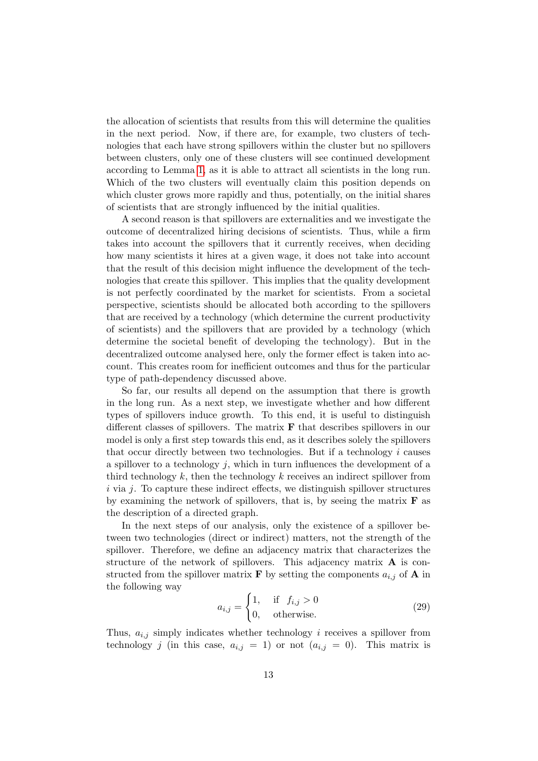the allocation of scientists that results from this will determine the qualities in the next period. Now, if there are, for example, two clusters of technologies that each have strong spillovers within the cluster but no spillovers between clusters, only one of these clusters will see continued development according to Lemma [1,](#page-9-2) as it is able to attract all scientists in the long run. Which of the two clusters will eventually claim this position depends on which cluster grows more rapidly and thus, potentially, on the initial shares of scientists that are strongly influenced by the initial qualities.

A second reason is that spillovers are externalities and we investigate the outcome of decentralized hiring decisions of scientists. Thus, while a firm takes into account the spillovers that it currently receives, when deciding how many scientists it hires at a given wage, it does not take into account that the result of this decision might influence the development of the technologies that create this spillover. This implies that the quality development is not perfectly coordinated by the market for scientists. From a societal perspective, scientists should be allocated both according to the spillovers that are received by a technology (which determine the current productivity of scientists) and the spillovers that are provided by a technology (which determine the societal benefit of developing the technology). But in the decentralized outcome analysed here, only the former effect is taken into account. This creates room for inefficient outcomes and thus for the particular type of path-dependency discussed above.

So far, our results all depend on the assumption that there is growth in the long run. As a next step, we investigate whether and how different types of spillovers induce growth. To this end, it is useful to distinguish different classes of spillovers. The matrix  $\bf{F}$  that describes spillovers in our model is only a first step towards this end, as it describes solely the spillovers that occur directly between two technologies. But if a technology  $i$  causes a spillover to a technology  $j$ , which in turn influences the development of a third technology  $k$ , then the technology  $k$  receives an indirect spillover from  $i$  via  $j$ . To capture these indirect effects, we distinguish spillover structures by examining the network of spillovers, that is, by seeing the matrix  $\bf{F}$  as the description of a directed graph.

In the next steps of our analysis, only the existence of a spillover between two technologies (direct or indirect) matters, not the strength of the spillover. Therefore, we define an adjacency matrix that characterizes the structure of the network of spillovers. This adjacency matrix A is constructed from the spillover matrix **F** by setting the components  $a_{i,j}$  of **A** in the following way

$$
a_{i,j} = \begin{cases} 1, & \text{if } f_{i,j} > 0 \\ 0, & \text{otherwise.} \end{cases} \tag{29}
$$

Thus,  $a_{i,j}$  simply indicates whether technology i receives a spillover from technology j (in this case,  $a_{i,j} = 1$ ) or not  $(a_{i,j} = 0)$ . This matrix is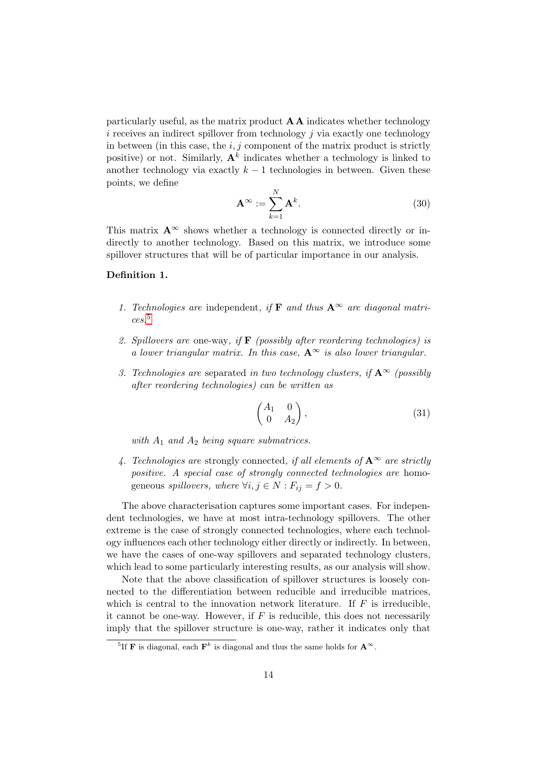particularly useful, as the matrix product  $\mathbf{A}\mathbf{A}$  indicates whether technology  $i$  receives an indirect spillover from technology  $j$  via exactly one technology in between (in this case, the  $i, j$  component of the matrix product is strictly positive) or not. Similarly,  $A^k$  indicates whether a technology is linked to another technology via exactly  $k-1$  technologies in between. Given these points, we define

$$
\mathbf{A}^{\infty} := \sum_{k=1}^{N} \mathbf{A}^{k}.
$$
 (30)

This matrix  $\mathbf{A}^{\infty}$  shows whether a technology is connected directly or indirectly to another technology. Based on this matrix, we introduce some spillover structures that will be of particular importance in our analysis.

#### <span id="page-14-1"></span>Definition 1.

- 1. Technologies are independent, if **F** and thus  $A^{\infty}$  are diagonal matrices.[5](#page-14-0)
- 2. Spillovers are one-way, if  $\bf{F}$  (possibly after reordering technologies) is a lower triangular matrix. In this case,  $A^{\infty}$  is also lower triangular.
- 3. Technologies are separated in two technology clusters, if  $A^{\infty}$  (possibly after reordering technologies) can be written as

$$
\begin{pmatrix} A_1 & 0 \\ 0 & A_2 \end{pmatrix}, \tag{31}
$$

with  $A_1$  and  $A_2$  being square submatrices.

4. Technologies are strongly connected, if all elements of  ${\bf A}^{\infty}$  are strictly positive. A special case of strongly connected technologies are homogeneous spillovers, where  $\forall i, j \in N : F_{ij} = f > 0$ .

The above characterisation captures some important cases. For independent technologies, we have at most intra-technology spillovers. The other extreme is the case of strongly connected technologies, where each technology influences each other technology either directly or indirectly. In between, we have the cases of one-way spillovers and separated technology clusters, which lead to some particularly interesting results, as our analysis will show.

Note that the above classification of spillover structures is loosely connected to the differentiation between reducible and irreducible matrices, which is central to the innovation network literature. If  $F$  is irreducible, it cannot be one-way. However, if  $F$  is reducible, this does not necessarily imply that the spillover structure is one-way, rather it indicates only that

<span id="page-14-0"></span><sup>&</sup>lt;sup>5</sup>If **F** is diagonal, each  $\mathbf{F}^k$  is diagonal and thus the same holds for  $\mathbf{A}^{\infty}$ .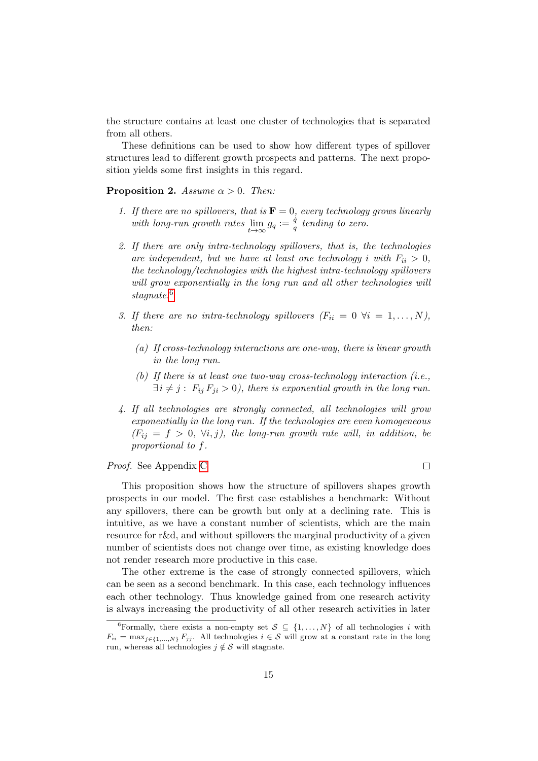the structure contains at least one cluster of technologies that is separated from all others.

These definitions can be used to show how different types of spillover structures lead to different growth prospects and patterns. The next proposition yields some first insights in this regard.

<span id="page-15-1"></span>**Proposition 2.** Assume  $\alpha > 0$ . Then:

- 1. If there are no spillovers, that is  $\mathbf{F} = 0$ , every technology grows linearly with long-run growth rates  $\lim_{t\to\infty} g_q := \frac{\dot{q}}{q}$  $\frac{q}{q}$  tending to zero.
- 2. If there are only intra-technology spillovers, that is, the technologies are independent, but we have at least one technology i with  $F_{ii} > 0$ , the technology/technologies with the highest intra-technology spillovers will grow exponentially in the long run and all other technologies will stagnate.<sup>[6](#page-15-0)</sup>
- 3. If there are no intra-technology spillovers  $(F_{ii} = 0 \ \forall i = 1, ..., N)$ , then:
	- (a) If cross-technology interactions are one-way, there is linear growth in the long run.
	- (b) If there is at least one two-way cross-technology interaction (i.e.,  $\exists i \neq j$ :  $F_{ij} F_{ji} > 0$ , there is exponential growth in the long run.
- 4. If all technologies are strongly connected, all technologies will grow exponentially in the long run. If the technologies are even homogeneous  $(F_{ij} = f > 0, \forall i, j)$ , the long-run growth rate will, in addition, be proportional to f.

 $\Box$ 

Proof. See Appendix [C](#page-31-0)

This proposition shows how the structure of spillovers shapes growth prospects in our model. The first case establishes a benchmark: Without any spillovers, there can be growth but only at a declining rate. This is intuitive, as we have a constant number of scientists, which are the main resource for r&d, and without spillovers the marginal productivity of a given number of scientists does not change over time, as existing knowledge does not render research more productive in this case.

The other extreme is the case of strongly connected spillovers, which can be seen as a second benchmark. In this case, each technology influences each other technology. Thus knowledge gained from one research activity is always increasing the productivity of all other research activities in later

<span id="page-15-0"></span><sup>&</sup>lt;sup>6</sup>Formally, there exists a non-empty set  $S \subseteq \{1, ..., N\}$  of all technologies i with  $F_{ii} = \max_{j \in \{1,...,N\}} F_{jj}$ . All technologies  $i \in \mathcal{S}$  will grow at a constant rate in the long run, whereas all technologies  $j \notin \mathcal{S}$  will stagnate.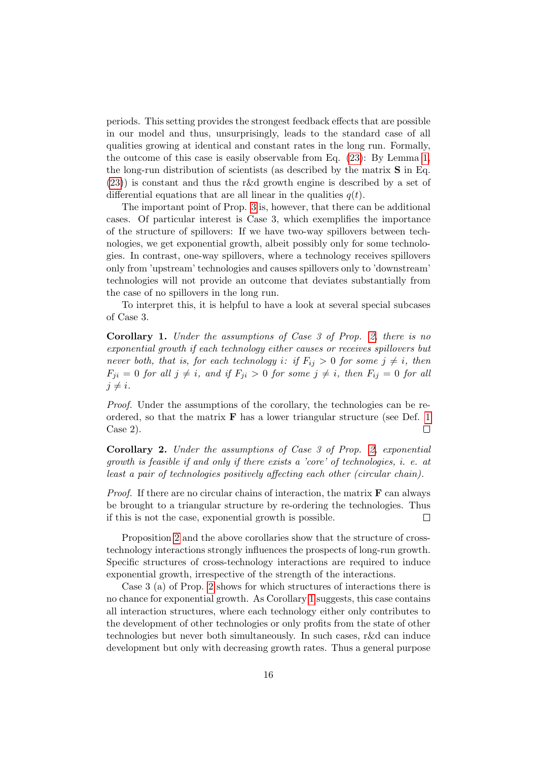periods. This setting provides the strongest feedback effects that are possible in our model and thus, unsurprisingly, leads to the standard case of all qualities growing at identical and constant rates in the long run. Formally, the outcome of this case is easily observable from Eq. [\(23\)](#page-10-0): By Lemma [1,](#page-9-2) the long-run distribution of scientists (as described by the matrix S in Eq. [\(23\)](#page-10-0)) is constant and thus the r&d growth engine is described by a set of differential equations that are all linear in the qualities  $q(t)$ .

The important point of Prop. [3](#page-20-0) is, however, that there can be additional cases. Of particular interest is Case 3, which exemplifies the importance of the structure of spillovers: If we have two-way spillovers between technologies, we get exponential growth, albeit possibly only for some technologies. In contrast, one-way spillovers, where a technology receives spillovers only from 'upstream' technologies and causes spillovers only to 'downstream' technologies will not provide an outcome that deviates substantially from the case of no spillovers in the long run.

To interpret this, it is helpful to have a look at several special subcases of Case 3.

<span id="page-16-0"></span>Corollary 1. Under the assumptions of Case 3 of Prop. [2,](#page-15-1) there is no exponential growth if each technology either causes or receives spillovers but never both, that is, for each technology i: if  $F_{ij} > 0$  for some  $j \neq i$ , then  $F_{ji} = 0$  for all  $j \neq i$ , and if  $F_{ji} > 0$  for some  $j \neq i$ , then  $F_{ij} = 0$  for all  $j \neq i$ .

Proof. Under the assumptions of the corollary, the technologies can be reordered, so that the matrix  $\bf{F}$  has a lower triangular structure (see Def. [1](#page-14-1)) Case 2).  $\Box$ 

<span id="page-16-1"></span>Corollary 2. Under the assumptions of Case 3 of Prop. [2,](#page-15-1) exponential growth is feasible if and only if there exists a 'core' of technologies, i. e. at least a pair of technologies positively affecting each other (circular chain).

*Proof.* If there are no circular chains of interaction, the matrix  $\bf{F}$  can always be brought to a triangular structure by re-ordering the technologies. Thus if this is not the case, exponential growth is possible.  $\Box$ 

Proposition [2](#page-15-1) and the above corollaries show that the structure of crosstechnology interactions strongly influences the prospects of long-run growth. Specific structures of cross-technology interactions are required to induce exponential growth, irrespective of the strength of the interactions.

Case 3 (a) of Prop. [2](#page-15-1) shows for which structures of interactions there is no chance for exponential growth. As Corollary [1](#page-16-0) suggests, this case contains all interaction structures, where each technology either only contributes to the development of other technologies or only profits from the state of other technologies but never both simultaneously. In such cases, r&d can induce development but only with decreasing growth rates. Thus a general purpose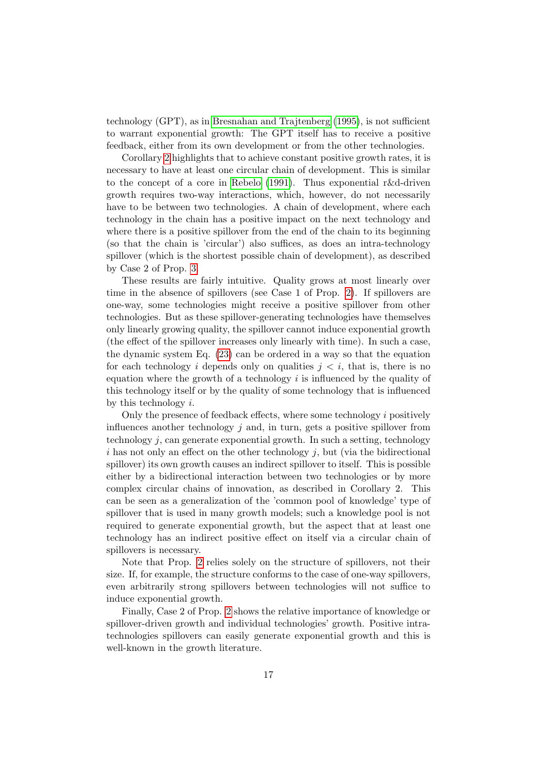technology (GPT), as in [Bresnahan and Trajtenberg](#page-33-5) [\(1995\)](#page-33-5), is not sufficient to warrant exponential growth: The GPT itself has to receive a positive feedback, either from its own development or from the other technologies.

Corollary [2](#page-16-1) highlights that to achieve constant positive growth rates, it is necessary to have at least one circular chain of development. This is similar to the concept of a core in [Rebelo](#page-34-6) [\(1991\)](#page-34-6). Thus exponential r&d-driven growth requires two-way interactions, which, however, do not necessarily have to be between two technologies. A chain of development, where each technology in the chain has a positive impact on the next technology and where there is a positive spillover from the end of the chain to its beginning (so that the chain is 'circular') also suffices, as does an intra-technology spillover (which is the shortest possible chain of development), as described by Case 2 of Prop. [3.](#page-20-0)

These results are fairly intuitive. Quality grows at most linearly over time in the absence of spillovers (see Case 1 of Prop. [2\)](#page-15-1). If spillovers are one-way, some technologies might receive a positive spillover from other technologies. But as these spillover-generating technologies have themselves only linearly growing quality, the spillover cannot induce exponential growth (the effect of the spillover increases only linearly with time). In such a case, the dynamic system Eq. [\(23\)](#page-10-0) can be ordered in a way so that the equation for each technology i depends only on qualities  $j < i$ , that is, there is no equation where the growth of a technology  $i$  is influenced by the quality of this technology itself or by the quality of some technology that is influenced by this technology i.

Only the presence of feedback effects, where some technology i positively influences another technology  $j$  and, in turn, gets a positive spillover from technology j, can generate exponential growth. In such a setting, technology  $i$  has not only an effect on the other technology  $j$ , but (via the bidirectional spillover) its own growth causes an indirect spillover to itself. This is possible either by a bidirectional interaction between two technologies or by more complex circular chains of innovation, as described in Corollary 2. This can be seen as a generalization of the 'common pool of knowledge' type of spillover that is used in many growth models; such a knowledge pool is not required to generate exponential growth, but the aspect that at least one technology has an indirect positive effect on itself via a circular chain of spillovers is necessary.

Note that Prop. [2](#page-15-1) relies solely on the structure of spillovers, not their size. If, for example, the structure conforms to the case of one-way spillovers, even arbitrarily strong spillovers between technologies will not suffice to induce exponential growth.

Finally, Case 2 of Prop. [2](#page-15-1) shows the relative importance of knowledge or spillover-driven growth and individual technologies' growth. Positive intratechnologies spillovers can easily generate exponential growth and this is well-known in the growth literature.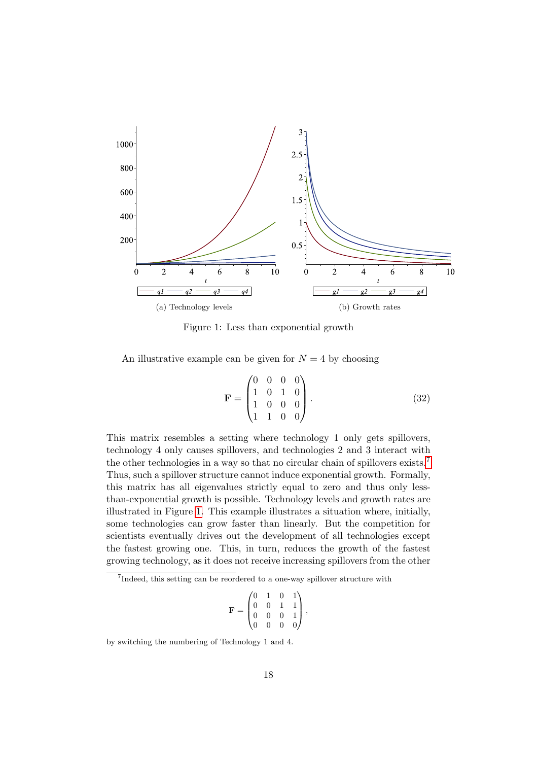<span id="page-18-1"></span>

Figure 1: Less than exponential growth

An illustrative example can be given for  $N = 4$  by choosing

$$
\mathbf{F} = \begin{pmatrix} 0 & 0 & 0 & 0 \\ 1 & 0 & 1 & 0 \\ 1 & 0 & 0 & 0 \\ 1 & 1 & 0 & 0 \end{pmatrix} . \tag{32}
$$

This matrix resembles a setting where technology 1 only gets spillovers, technology 4 only causes spillovers, and technologies 2 and 3 interact with the other technologies in a way so that no circular chain of spillovers exists.<sup>[7](#page-18-0)</sup> Thus, such a spillover structure cannot induce exponential growth. Formally, this matrix has all eigenvalues strictly equal to zero and thus only lessthan-exponential growth is possible. Technology levels and growth rates are illustrated in Figure [1.](#page-18-1) This example illustrates a situation where, initially, some technologies can grow faster than linearly. But the competition for scientists eventually drives out the development of all technologies except the fastest growing one. This, in turn, reduces the growth of the fastest growing technology, as it does not receive increasing spillovers from the other

$$
\mathbf{F} = \begin{pmatrix} 0 & 1 & 0 & 1 \\ 0 & 0 & 1 & 1 \\ 0 & 0 & 0 & 1 \\ 0 & 0 & 0 & 0 \end{pmatrix},
$$

by switching the numbering of Technology 1 and 4.

<span id="page-18-0"></span><sup>&</sup>lt;sup>7</sup>Indeed, this setting can be reordered to a one-way spillover structure with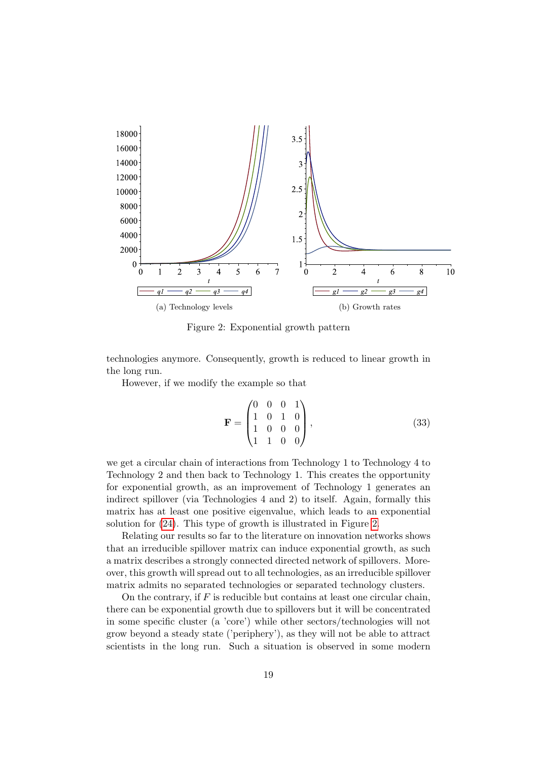<span id="page-19-0"></span>

Figure 2: Exponential growth pattern

technologies anymore. Consequently, growth is reduced to linear growth in the long run.

However, if we modify the example so that

$$
\mathbf{F} = \begin{pmatrix} 0 & 0 & 0 & 1 \\ 1 & 0 & 1 & 0 \\ 1 & 0 & 0 & 0 \\ 1 & 1 & 0 & 0 \end{pmatrix}, \tag{33}
$$

we get a circular chain of interactions from Technology 1 to Technology 4 to Technology 2 and then back to Technology 1. This creates the opportunity for exponential growth, as an improvement of Technology 1 generates an indirect spillover (via Technologies 4 and 2) to itself. Again, formally this matrix has at least one positive eigenvalue, which leads to an exponential solution for [\(24\)](#page-11-2). This type of growth is illustrated in Figure [2.](#page-19-0)

Relating our results so far to the literature on innovation networks shows that an irreducible spillover matrix can induce exponential growth, as such a matrix describes a strongly connected directed network of spillovers. Moreover, this growth will spread out to all technologies, as an irreducible spillover matrix admits no separated technologies or separated technology clusters.

On the contrary, if  $F$  is reducible but contains at least one circular chain, there can be exponential growth due to spillovers but it will be concentrated in some specific cluster (a 'core') while other sectors/technologies will not grow beyond a steady state ('periphery'), as they will not be able to attract scientists in the long run. Such a situation is observed in some modern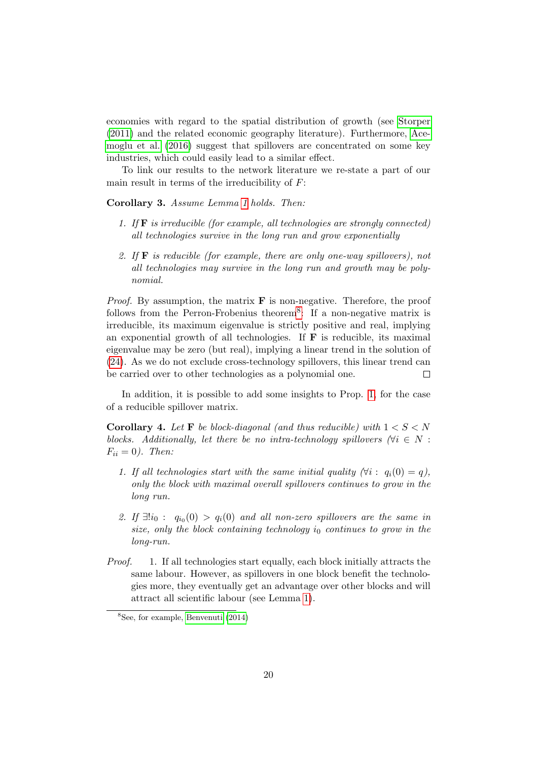economies with regard to the spatial distribution of growth (see [Storper](#page-34-7) [\(2011\)](#page-34-7) and the related economic geography literature). Furthermore, [Ace](#page-32-3)[moglu et al.](#page-32-3) [\(2016\)](#page-32-3) suggest that spillovers are concentrated on some key industries, which could easily lead to a similar effect.

To link our results to the network literature we re-state a part of our main result in terms of the irreducibility of  $F$ :

<span id="page-20-0"></span>Corollary 3. Assume Lemma [1](#page-9-2) holds. Then:

- 1. If F is irreducible (for example, all technologies are strongly connected) all technologies survive in the long run and grow exponentially
- 2. If  $\bf{F}$  is reducible (for example, there are only one-way spillovers), not all technologies may survive in the long run and growth may be polynomial.

*Proof.* By assumption, the matrix  $\bf{F}$  is non-negative. Therefore, the proof follows from the Perron-Frobenius theorem<sup>[8](#page-20-1)</sup>: If a non-negative matrix is irreducible, its maximum eigenvalue is strictly positive and real, implying an exponential growth of all technologies. If  $\bf{F}$  is reducible, its maximal eigenvalue may be zero (but real), implying a linear trend in the solution of [\(24\)](#page-11-2). As we do not exclude cross-technology spillovers, this linear trend can be carried over to other technologies as a polynomial one.  $\Box$ 

In addition, it is possible to add some insights to Prop. [1,](#page-12-2) for the case of a reducible spillover matrix.

**Corollary 4.** Let **F** be block-diagonal (and thus reducible) with  $1 < S < N$ blocks. Additionally, let there be no intra-technology spillovers ( $\forall i \in N$ :  $F_{ii} = 0$ ). Then:

- 1. If all technologies start with the same initial quality  $(\forall i : q_i(0) = q)$ , only the block with maximal overall spillovers continues to grow in the long run.
- 2. If  $\exists! i_0: q_{i_0}(0) > q_i(0)$  and all non-zero spillovers are the same in size, only the block containing technology  $i_0$  continues to grow in the long-run.
- Proof. 1. If all technologies start equally, each block initially attracts the same labour. However, as spillovers in one block benefit the technologies more, they eventually get an advantage over other blocks and will attract all scientific labour (see Lemma [1\)](#page-9-2).

<span id="page-20-1"></span><sup>8</sup>See, for example, [Benvenuti](#page-33-10) [\(2014\)](#page-33-10)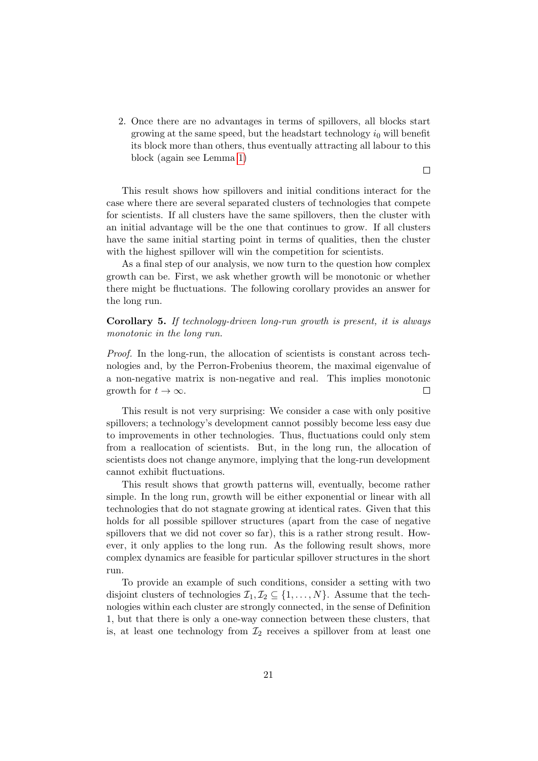2. Once there are no advantages in terms of spillovers, all blocks start growing at the same speed, but the headstart technology  $i_0$  will benefit its block more than others, thus eventually attracting all labour to this block (again see Lemma [1\)](#page-9-2)

This result shows how spillovers and initial conditions interact for the case where there are several separated clusters of technologies that compete for scientists. If all clusters have the same spillovers, then the cluster with an initial advantage will be the one that continues to grow. If all clusters have the same initial starting point in terms of qualities, then the cluster with the highest spillover will win the competition for scientists.

As a final step of our analysis, we now turn to the question how complex growth can be. First, we ask whether growth will be monotonic or whether there might be fluctuations. The following corollary provides an answer for the long run.

Corollary 5. If technology-driven long-run growth is present, it is always monotonic in the long run.

Proof. In the long-run, the allocation of scientists is constant across technologies and, by the Perron-Frobenius theorem, the maximal eigenvalue of a non-negative matrix is non-negative and real. This implies monotonic growth for  $t \to \infty$ .  $\Box$ 

This result is not very surprising: We consider a case with only positive spillovers; a technology's development cannot possibly become less easy due to improvements in other technologies. Thus, fluctuations could only stem from a reallocation of scientists. But, in the long run, the allocation of scientists does not change anymore, implying that the long-run development cannot exhibit fluctuations.

This result shows that growth patterns will, eventually, become rather simple. In the long run, growth will be either exponential or linear with all technologies that do not stagnate growing at identical rates. Given that this holds for all possible spillover structures (apart from the case of negative spillovers that we did not cover so far), this is a rather strong result. However, it only applies to the long run. As the following result shows, more complex dynamics are feasible for particular spillover structures in the short run.

To provide an example of such conditions, consider a setting with two disjoint clusters of technologies  $\mathcal{I}_1, \mathcal{I}_2 \subseteq \{1, \ldots, N\}$ . Assume that the technologies within each cluster are strongly connected, in the sense of Definition 1, but that there is only a one-way connection between these clusters, that is, at least one technology from  $\mathcal{I}_2$  receives a spillover from at least one

 $\Box$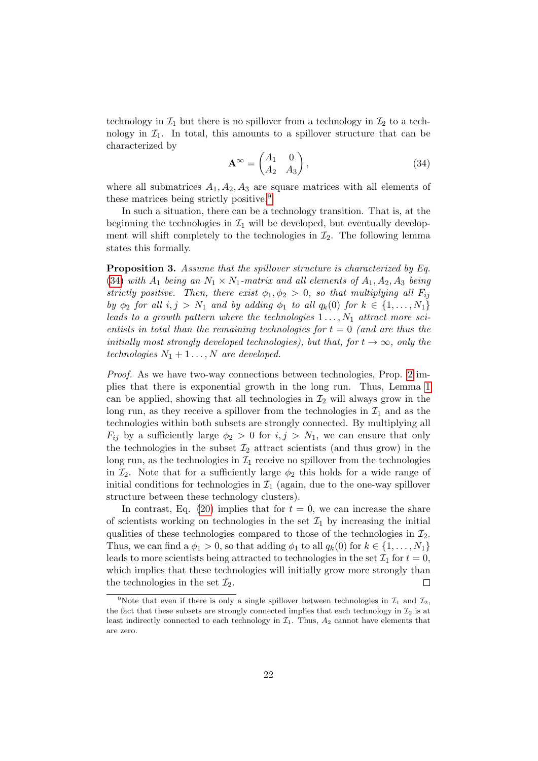technology in  $\mathcal{I}_1$  but there is no spillover from a technology in  $\mathcal{I}_2$  to a technology in  $\mathcal{I}_1$ . In total, this amounts to a spillover structure that can be characterized by

<span id="page-22-1"></span>
$$
\mathbf{A}^{\infty} = \begin{pmatrix} A_1 & 0 \\ A_2 & A_3 \end{pmatrix},\tag{34}
$$

where all submatrices  $A_1, A_2, A_3$  are square matrices with all elements of these matrices being strictly positive.<sup>[9](#page-22-0)</sup>

In such a situation, there can be a technology transition. That is, at the beginning the technologies in  $\mathcal{I}_1$  will be developed, but eventually development will shift completely to the technologies in  $\mathcal{I}_2$ . The following lemma states this formally.

<span id="page-22-2"></span>Proposition 3. Assume that the spillover structure is characterized by Eq. [\(34\)](#page-22-1) with  $A_1$  being an  $N_1 \times N_1$ -matrix and all elements of  $A_1, A_2, A_3$  being strictly positive. Then, there exist  $\phi_1, \phi_2 > 0$ , so that multiplying all  $F_{ij}$ by  $\phi_2$  for all  $i, j > N_1$  and by adding  $\phi_1$  to all  $q_k(0)$  for  $k \in \{1, \ldots, N_1\}$ leads to a growth pattern where the technologies  $1 \ldots, N_1$  attract more scientists in total than the remaining technologies for  $t = 0$  (and are thus the initially most strongly developed technologies), but that, for  $t \to \infty$ , only the technologies  $N_1 + 1 \ldots, N$  are developed.

Proof. As we have two-way connections between technologies, Prop. [2](#page-15-1) implies that there is exponential growth in the long run. Thus, Lemma [1](#page-9-2) can be applied, showing that all technologies in  $\mathcal{I}_2$  will always grow in the long run, as they receive a spillover from the technologies in  $\mathcal{I}_1$  and as the technologies within both subsets are strongly connected. By multiplying all  $F_{ij}$  by a sufficiently large  $\phi_2 > 0$  for  $i, j > N_1$ , we can ensure that only the technologies in the subset  $\mathcal{I}_2$  attract scientists (and thus grow) in the long run, as the technologies in  $\mathcal{I}_1$  receive no spillover from the technologies in  $\mathcal{I}_2$ . Note that for a sufficiently large  $\phi_2$  this holds for a wide range of initial conditions for technologies in  $\mathcal{I}_1$  (again, due to the one-way spillover structure between these technology clusters).

In contrast, Eq. [\(20\)](#page-9-1) implies that for  $t = 0$ , we can increase the share of scientists working on technologies in the set  $\mathcal{I}_1$  by increasing the initial qualities of these technologies compared to those of the technologies in  $\mathcal{I}_2$ . Thus, we can find a  $\phi_1 > 0$ , so that adding  $\phi_1$  to all  $q_k(0)$  for  $k \in \{1, \ldots, N_1\}$ leads to more scientists being attracted to technologies in the set  $\mathcal{I}_1$  for  $t = 0$ , which implies that these technologies will initially grow more strongly than the technologies in the set  $\mathcal{I}_2$ .  $\Box$ 

<span id="page-22-0"></span><sup>&</sup>lt;sup>9</sup>Note that even if there is only a single spillover between technologies in  $\mathcal{I}_1$  and  $\mathcal{I}_2$ , the fact that these subsets are strongly connected implies that each technology in  $\mathcal{I}_2$  is at least indirectly connected to each technology in  $\mathcal{I}_1$ . Thus,  $A_2$  cannot have elements that are zero.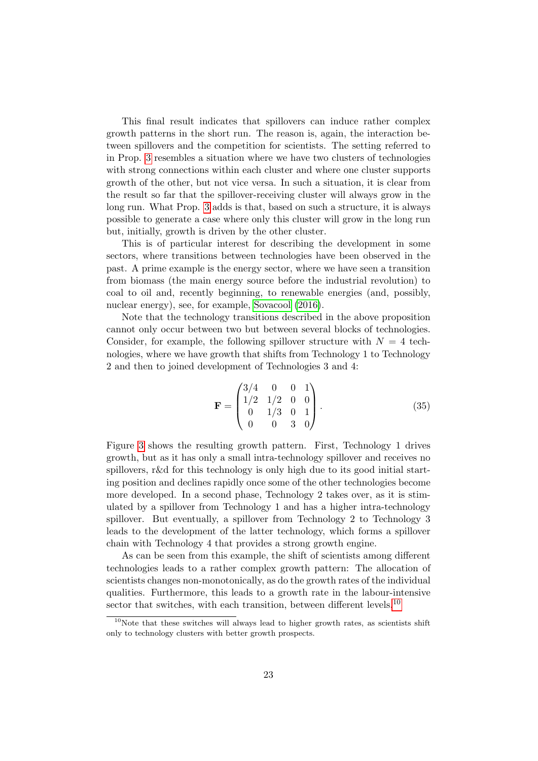This final result indicates that spillovers can induce rather complex growth patterns in the short run. The reason is, again, the interaction between spillovers and the competition for scientists. The setting referred to in Prop. [3](#page-22-2) resembles a situation where we have two clusters of technologies with strong connections within each cluster and where one cluster supports growth of the other, but not vice versa. In such a situation, it is clear from the result so far that the spillover-receiving cluster will always grow in the long run. What Prop. [3](#page-22-2) adds is that, based on such a structure, it is always possible to generate a case where only this cluster will grow in the long run but, initially, growth is driven by the other cluster.

This is of particular interest for describing the development in some sectors, where transitions between technologies have been observed in the past. A prime example is the energy sector, where we have seen a transition from biomass (the main energy source before the industrial revolution) to coal to oil and, recently beginning, to renewable energies (and, possibly, nuclear energy), see, for example, [Sovacool](#page-34-8) [\(2016\)](#page-34-8).

Note that the technology transitions described in the above proposition cannot only occur between two but between several blocks of technologies. Consider, for example, the following spillover structure with  $N = 4$  technologies, where we have growth that shifts from Technology 1 to Technology 2 and then to joined development of Technologies 3 and 4:

<span id="page-23-1"></span>
$$
\mathbf{F} = \begin{pmatrix} 3/4 & 0 & 0 & 1 \\ 1/2 & 1/2 & 0 & 0 \\ 0 & 1/3 & 0 & 1 \\ 0 & 0 & 3 & 0 \end{pmatrix} . \tag{35}
$$

Figure [3](#page-24-0) shows the resulting growth pattern. First, Technology 1 drives growth, but as it has only a small intra-technology spillover and receives no spillovers, r&d for this technology is only high due to its good initial starting position and declines rapidly once some of the other technologies become more developed. In a second phase, Technology 2 takes over, as it is stimulated by a spillover from Technology 1 and has a higher intra-technology spillover. But eventually, a spillover from Technology 2 to Technology 3 leads to the development of the latter technology, which forms a spillover chain with Technology 4 that provides a strong growth engine.

As can be seen from this example, the shift of scientists among different technologies leads to a rather complex growth pattern: The allocation of scientists changes non-monotonically, as do the growth rates of the individual qualities. Furthermore, this leads to a growth rate in the labour-intensive sector that switches, with each transition, between different levels.<sup>[10](#page-23-0)</sup>

<span id="page-23-0"></span> $10$ Note that these switches will always lead to higher growth rates, as scientists shift only to technology clusters with better growth prospects.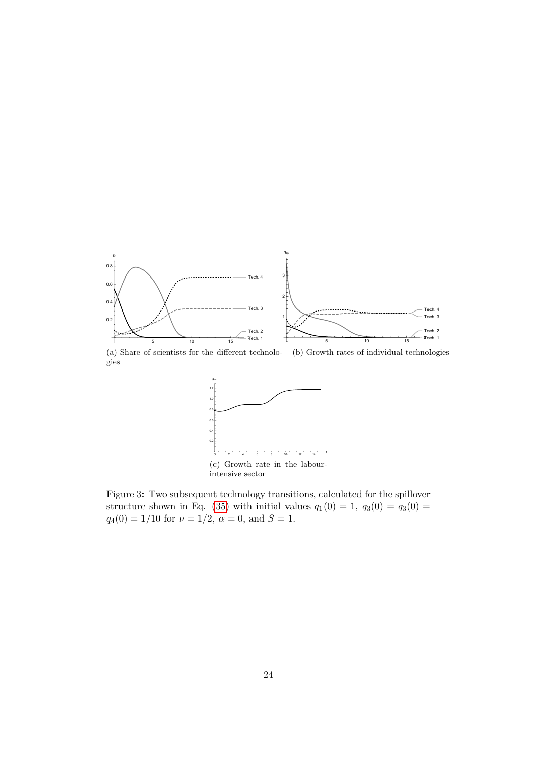<span id="page-24-0"></span>

(a) Share of scientists for the different technologies (b) Growth rates of individual technologies



Figure 3: Two subsequent technology transitions, calculated for the spillover structure shown in Eq. [\(35\)](#page-23-1) with initial values  $q_1(0) = 1$ ,  $q_3(0) = q_3(0) =$  $q_4(0) = 1/10$  for  $\nu = 1/2$ ,  $\alpha = 0$ , and  $S = 1$ .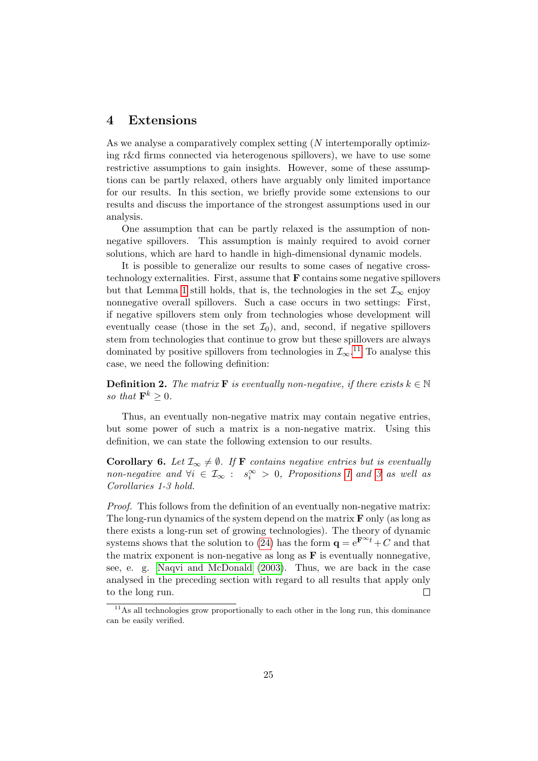#### <span id="page-25-0"></span>4 Extensions

As we analyse a comparatively complex setting (N intertemporally optimizing r&d firms connected via heterogenous spillovers), we have to use some restrictive assumptions to gain insights. However, some of these assumptions can be partly relaxed, others have arguably only limited importance for our results. In this section, we briefly provide some extensions to our results and discuss the importance of the strongest assumptions used in our analysis.

One assumption that can be partly relaxed is the assumption of nonnegative spillovers. This assumption is mainly required to avoid corner solutions, which are hard to handle in high-dimensional dynamic models.

It is possible to generalize our results to some cases of negative crosstechnology externalities. First, assume that F contains some negative spillovers but that Lemma [1](#page-9-2) still holds, that is, the technologies in the set  $\mathcal{I}_{\infty}$  enjoy nonnegative overall spillovers. Such a case occurs in two settings: First, if negative spillovers stem only from technologies whose development will eventually cease (those in the set  $\mathcal{I}_0$ ), and, second, if negative spillovers stem from technologies that continue to grow but these spillovers are always dominated by positive spillovers from technologies in  $\mathcal{I}_{\infty}$ .<sup>[11](#page-25-1)</sup> To analyse this case, we need the following definition:

**Definition 2.** The matrix **F** is eventually non-negative, if there exists  $k \in \mathbb{N}$ so that  $\mathbf{F}^k \geq 0$ .

Thus, an eventually non-negative matrix may contain negative entries, but some power of such a matrix is a non-negative matrix. Using this definition, we can state the following extension to our results.

<span id="page-25-2"></span>**Corollary 6.** Let  $\mathcal{I}_{\infty} \neq \emptyset$ . If **F** contains negative entries but is eventually non-negative and  $\forall i \in \mathcal{I}_{\infty} : s_i^{\infty} > 0$ , Propositions [1](#page-12-2) and [3](#page-20-0) as well as Corollaries 1-3 hold.

Proof. This follows from the definition of an eventually non-negative matrix: The long-run dynamics of the system depend on the matrix  $\bf{F}$  only (as long as there exists a long-run set of growing technologies). The theory of dynamic systems shows that the solution to [\(24\)](#page-11-2) has the form  $\mathbf{q} = e^{\mathbf{F}^{\infty}t} + C$  and that the matrix exponent is non-negative as long as  $\bf{F}$  is eventually nonnegative, see, e. g. [Naqvi and McDonald](#page-33-11) [\(2003\)](#page-33-11). Thus, we are back in the case analysed in the preceding section with regard to all results that apply only  $\Box$ to the long run.

<span id="page-25-1"></span> $11$ As all technologies grow proportionally to each other in the long run, this dominance can be easily verified.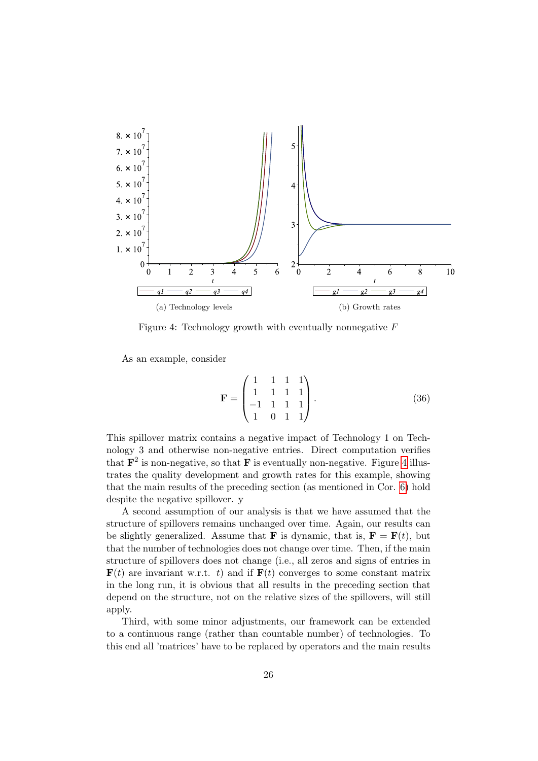<span id="page-26-0"></span>

Figure 4: Technology growth with eventually nonnegative  $F$ 

As an example, consider

$$
\mathbf{F} = \begin{pmatrix} 1 & 1 & 1 & 1 \\ 1 & 1 & 1 & 1 \\ -1 & 1 & 1 & 1 \\ 1 & 0 & 1 & 1 \end{pmatrix} . \tag{36}
$$

This spillover matrix contains a negative impact of Technology 1 on Technology 3 and otherwise non-negative entries. Direct computation verifies that  $\mathbf{F}^2$  is non-negative, so that F is eventually non-negative. Figure [4](#page-26-0) illustrates the quality development and growth rates for this example, showing that the main results of the preceding section (as mentioned in Cor. [6\)](#page-25-2) hold despite the negative spillover. y

A second assumption of our analysis is that we have assumed that the structure of spillovers remains unchanged over time. Again, our results can be slightly generalized. Assume that **F** is dynamic, that is,  $\mathbf{F} = \mathbf{F}(t)$ , but that the number of technologies does not change over time. Then, if the main structure of spillovers does not change (i.e., all zeros and signs of entries in  $\mathbf{F}(t)$  are invariant w.r.t. t) and if  $\mathbf{F}(t)$  converges to some constant matrix in the long run, it is obvious that all results in the preceding section that depend on the structure, not on the relative sizes of the spillovers, will still apply.

Third, with some minor adjustments, our framework can be extended to a continuous range (rather than countable number) of technologies. To this end all 'matrices' have to be replaced by operators and the main results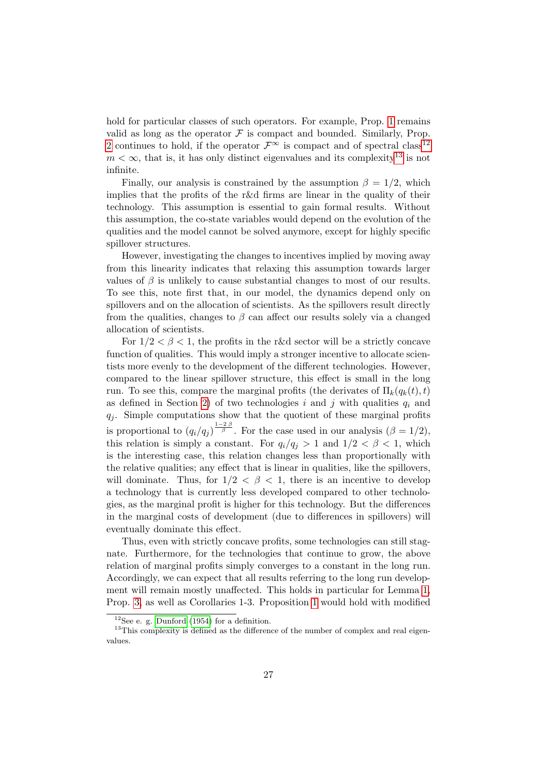hold for particular classes of such operators. For example, Prop. [1](#page-12-2) remains valid as long as the operator  $\mathcal F$  is compact and bounded. Similarly, Prop. [2](#page-15-1) continues to hold, if the operator  $\mathcal{F}^{\infty}$  is compact and of spectral class<sup>[12](#page-27-0)</sup>  $m < \infty$ , that is, it has only distinct eigenvalues and its complexity<sup>[13](#page-27-1)</sup> is not infinite.

Finally, our analysis is constrained by the assumption  $\beta = 1/2$ , which implies that the profits of the r&d firms are linear in the quality of their technology. This assumption is essential to gain formal results. Without this assumption, the co-state variables would depend on the evolution of the qualities and the model cannot be solved anymore, except for highly specific spillover structures.

However, investigating the changes to incentives implied by moving away from this linearity indicates that relaxing this assumption towards larger values of  $\beta$  is unlikely to cause substantial changes to most of our results. To see this, note first that, in our model, the dynamics depend only on spillovers and on the allocation of scientists. As the spillovers result directly from the qualities, changes to  $\beta$  can affect our results solely via a changed allocation of scientists.

For  $1/2 < \beta < 1$ , the profits in the r&d sector will be a strictly concave function of qualities. This would imply a stronger incentive to allocate scientists more evenly to the development of the different technologies. However, compared to the linear spillover structure, this effect is small in the long run. To see this, compare the marginal profits (the derivates of  $\Pi_k(q_k(t), t)$ ) as defined in Section [2\)](#page-3-0) of two technologies i and j with qualities  $q_i$  and  $q_i$ . Simple computations show that the quotient of these marginal profits is proportional to  $(q_i/q_j)^{\frac{1-2\beta}{\beta}}$ . For the case used in our analysis  $(\beta = 1/2)$ , this relation is simply a constant. For  $q_i/q_j > 1$  and  $1/2 < \beta < 1$ , which is the interesting case, this relation changes less than proportionally with the relative qualities; any effect that is linear in qualities, like the spillovers, will dominate. Thus, for  $1/2 < \beta < 1$ , there is an incentive to develop a technology that is currently less developed compared to other technologies, as the marginal profit is higher for this technology. But the differences in the marginal costs of development (due to differences in spillovers) will eventually dominate this effect.

Thus, even with strictly concave profits, some technologies can still stagnate. Furthermore, for the technologies that continue to grow, the above relation of marginal profits simply converges to a constant in the long run. Accordingly, we can expect that all results referring to the long run development will remain mostly unaffected. This holds in particular for Lemma [1,](#page-9-2) Prop. [3,](#page-20-0) as well as Corollaries 1-3. Proposition [1](#page-12-2) would hold with modified

<span id="page-27-1"></span><span id="page-27-0"></span> $12$ See e. g. [Dunford](#page-33-12) [\(1954\)](#page-33-12) for a definition.

 $13$ This complexity is defined as the difference of the number of complex and real eigenvalues.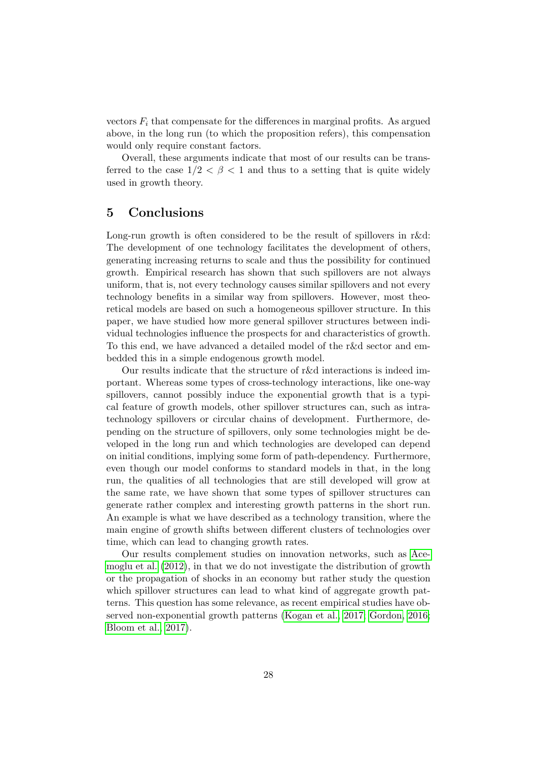vectors  $F_i$  that compensate for the differences in marginal profits. As argued above, in the long run (to which the proposition refers), this compensation would only require constant factors.

Overall, these arguments indicate that most of our results can be transferred to the case  $1/2 < \beta < 1$  and thus to a setting that is quite widely used in growth theory.

## <span id="page-28-0"></span>5 Conclusions

Long-run growth is often considered to be the result of spillovers in r&d: The development of one technology facilitates the development of others, generating increasing returns to scale and thus the possibility for continued growth. Empirical research has shown that such spillovers are not always uniform, that is, not every technology causes similar spillovers and not every technology benefits in a similar way from spillovers. However, most theoretical models are based on such a homogeneous spillover structure. In this paper, we have studied how more general spillover structures between individual technologies influence the prospects for and characteristics of growth. To this end, we have advanced a detailed model of the r&d sector and embedded this in a simple endogenous growth model.

Our results indicate that the structure of r&d interactions is indeed important. Whereas some types of cross-technology interactions, like one-way spillovers, cannot possibly induce the exponential growth that is a typical feature of growth models, other spillover structures can, such as intratechnology spillovers or circular chains of development. Furthermore, depending on the structure of spillovers, only some technologies might be developed in the long run and which technologies are developed can depend on initial conditions, implying some form of path-dependency. Furthermore, even though our model conforms to standard models in that, in the long run, the qualities of all technologies that are still developed will grow at the same rate, we have shown that some types of spillover structures can generate rather complex and interesting growth patterns in the short run. An example is what we have described as a technology transition, where the main engine of growth shifts between different clusters of technologies over time, which can lead to changing growth rates.

Our results complement studies on innovation networks, such as [Ace](#page-32-4)[moglu et al.](#page-32-4) [\(2012\)](#page-32-4), in that we do not investigate the distribution of growth or the propagation of shocks in an economy but rather study the question which spillover structures can lead to what kind of aggregate growth patterns. This question has some relevance, as recent empirical studies have observed non-exponential growth patterns [\(Kogan et al., 2017;](#page-33-13) [Gordon, 2016;](#page-33-7) [Bloom et al., 2017\)](#page-33-8).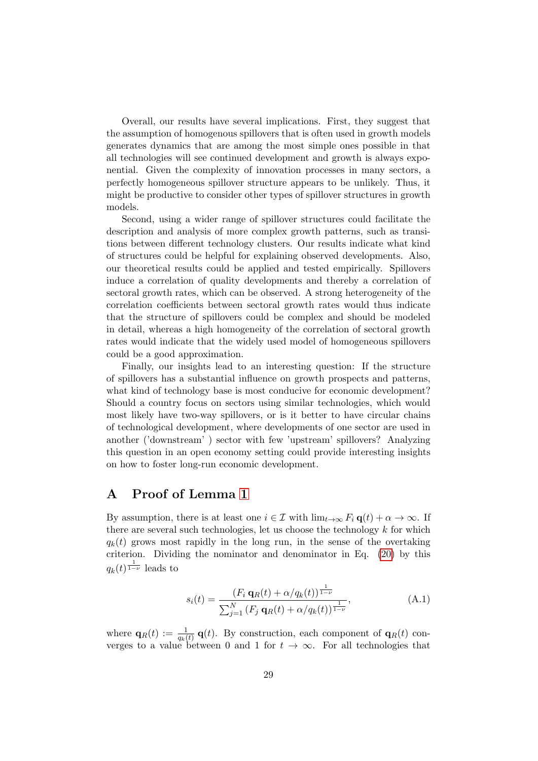Overall, our results have several implications. First, they suggest that the assumption of homogenous spillovers that is often used in growth models generates dynamics that are among the most simple ones possible in that all technologies will see continued development and growth is always exponential. Given the complexity of innovation processes in many sectors, a perfectly homogeneous spillover structure appears to be unlikely. Thus, it might be productive to consider other types of spillover structures in growth models.

Second, using a wider range of spillover structures could facilitate the description and analysis of more complex growth patterns, such as transitions between different technology clusters. Our results indicate what kind of structures could be helpful for explaining observed developments. Also, our theoretical results could be applied and tested empirically. Spillovers induce a correlation of quality developments and thereby a correlation of sectoral growth rates, which can be observed. A strong heterogeneity of the correlation coefficients between sectoral growth rates would thus indicate that the structure of spillovers could be complex and should be modeled in detail, whereas a high homogeneity of the correlation of sectoral growth rates would indicate that the widely used model of homogeneous spillovers could be a good approximation.

Finally, our insights lead to an interesting question: If the structure of spillovers has a substantial influence on growth prospects and patterns, what kind of technology base is most conducive for economic development? Should a country focus on sectors using similar technologies, which would most likely have two-way spillovers, or is it better to have circular chains of technological development, where developments of one sector are used in another ('downstream' ) sector with few 'upstream' spillovers? Analyzing this question in an open economy setting could provide interesting insights on how to foster long-run economic development.

## <span id="page-29-0"></span>A Proof of Lemma [1](#page-9-2)

By assumption, there is at least one  $i \in \mathcal{I}$  with  $\lim_{t \to \infty} F_i \mathbf{q}(t) + \alpha \to \infty$ . If there are several such technologies, let us choose the technology  $k$  for which  $q_k(t)$  grows most rapidly in the long run, in the sense of the overtaking criterion. Dividing the nominator and denominator in Eq. [\(20\)](#page-9-1) by this  $q_k(t)^{\frac{1}{1-\nu}}$  leads to

<span id="page-29-1"></span>
$$
s_i(t) = \frac{(F_i \mathbf{q}_R(t) + \alpha/q_k(t))^{\frac{1}{1-\nu}}}{\sum_{j=1}^N (F_j \mathbf{q}_R(t) + \alpha/q_k(t))^{\frac{1}{1-\nu}}},
$$
(A.1)

where  $\mathbf{q}_R(t) := \frac{1}{q_k(t)} \mathbf{q}(t)$ . By construction, each component of  $\mathbf{q}_R(t)$  converges to a value between 0 and 1 for  $t \to \infty$ . For all technologies that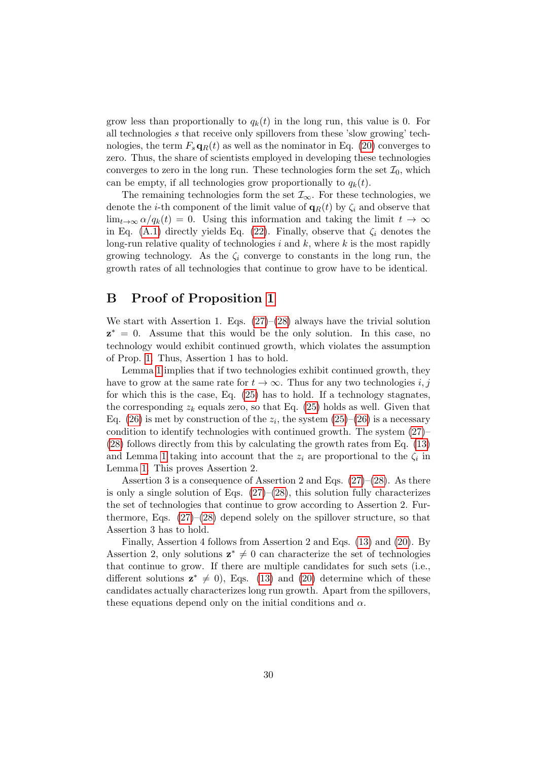grow less than proportionally to  $q_k(t)$  in the long run, this value is 0. For all technologies s that receive only spillovers from these 'slow growing' technologies, the term  $F_s \mathbf{q}_R(t)$  as well as the nominator in Eq. [\(20\)](#page-9-1) converges to zero. Thus, the share of scientists employed in developing these technologies converges to zero in the long run. These technologies form the set  $\mathcal{I}_0$ , which can be empty, if all technologies grow proportionally to  $q_k(t)$ .

The remaining technologies form the set  $\mathcal{I}_{\infty}$ . For these technologies, we denote the *i*-th component of the limit value of  $q_R(t)$  by  $\zeta_i$  and observe that  $\lim_{t\to\infty} \alpha/q_k(t) = 0$ . Using this information and taking the limit  $t \to \infty$ in Eq. [\(A.1\)](#page-29-1) directly yields Eq. [\(22\)](#page-10-1). Finally, observe that  $\zeta_i$  denotes the long-run relative quality of technologies  $i$  and  $k$ , where  $k$  is the most rapidly growing technology. As the  $\zeta_i$  converge to constants in the long run, the growth rates of all technologies that continue to grow have to be identical.

#### <span id="page-30-0"></span>B Proof of Proposition [1](#page-12-2)

We start with Assertion 1. Eqs.  $(27)$ – $(28)$  always have the trivial solution  $z^* = 0$ . Assume that this would be the only solution. In this case, no technology would exhibit continued growth, which violates the assumption of Prop. [1.](#page-12-2) Thus, Assertion 1 has to hold.

Lemma [1](#page-9-2) implies that if two technologies exhibit continued growth, they have to grow at the same rate for  $t \to \infty$ . Thus for any two technologies i, j for which this is the case, Eq. [\(25\)](#page-11-0) has to hold. If a technology stagnates, the corresponding  $z_k$  equals zero, so that Eq. [\(25\)](#page-11-0) holds as well. Given that Eq. [\(26\)](#page-11-3) is met by construction of the  $z_i$ , the system [\(25\)](#page-11-0)–(26) is a necessary condition to identify technologies with continued growth. The system [\(27\)](#page-12-0)– [\(28\)](#page-12-1) follows directly from this by calculating the growth rates from Eq. [\(13\)](#page-8-1) and Lemma [1](#page-9-2) taking into account that the  $z_i$  are proportional to the  $\zeta_i$  in Lemma [1.](#page-9-2) This proves Assertion 2.

Assertion 3 is a consequence of Assertion 2 and Eqs.  $(27)$ – $(28)$ . As there is only a single solution of Eqs.  $(27)$ – $(28)$ , this solution fully characterizes the set of technologies that continue to grow according to Assertion 2. Furthermore, Eqs.  $(27)$ – $(28)$  depend solely on the spillover structure, so that Assertion 3 has to hold.

Finally, Assertion 4 follows from Assertion 2 and Eqs. [\(13\)](#page-8-1) and [\(20\)](#page-9-1). By Assertion 2, only solutions  $z^* \neq 0$  can characterize the set of technologies that continue to grow. If there are multiple candidates for such sets (i.e., different solutions  $z^* \neq 0$ , Eqs. [\(13\)](#page-8-1) and [\(20\)](#page-9-1) determine which of these candidates actually characterizes long run growth. Apart from the spillovers, these equations depend only on the initial conditions and  $\alpha$ .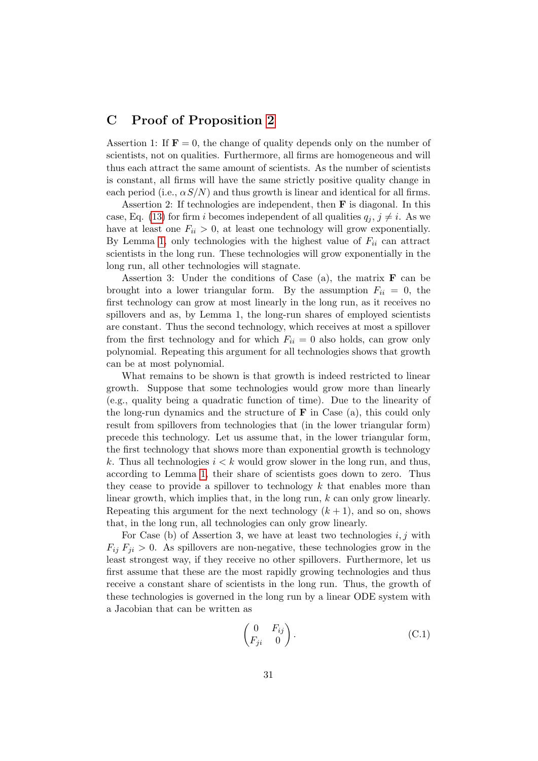#### <span id="page-31-0"></span>C Proof of Proposition [2](#page-15-1)

Assertion 1: If  $\mathbf{F} = 0$ , the change of quality depends only on the number of scientists, not on qualities. Furthermore, all firms are homogeneous and will thus each attract the same amount of scientists. As the number of scientists is constant, all firms will have the same strictly positive quality change in each period (i.e.,  $\alpha S/N$ ) and thus growth is linear and identical for all firms.

Assertion 2: If technologies are independent, then  $\bf{F}$  is diagonal. In this case, Eq. [\(13\)](#page-8-1) for firm i becomes independent of all qualities  $q_i, j \neq i$ . As we have at least one  $F_{ii} > 0$ , at least one technology will grow exponentially. By Lemma [1,](#page-9-2) only technologies with the highest value of  $F_{ii}$  can attract scientists in the long run. These technologies will grow exponentially in the long run, all other technologies will stagnate.

Assertion 3: Under the conditions of Case (a), the matrix  $\bf{F}$  can be brought into a lower triangular form. By the assumption  $F_{ii} = 0$ , the first technology can grow at most linearly in the long run, as it receives no spillovers and as, by Lemma 1, the long-run shares of employed scientists are constant. Thus the second technology, which receives at most a spillover from the first technology and for which  $F_{ii} = 0$  also holds, can grow only polynomial. Repeating this argument for all technologies shows that growth can be at most polynomial.

What remains to be shown is that growth is indeed restricted to linear growth. Suppose that some technologies would grow more than linearly (e.g., quality being a quadratic function of time). Due to the linearity of the long-run dynamics and the structure of  $\bf{F}$  in Case (a), this could only result from spillovers from technologies that (in the lower triangular form) precede this technology. Let us assume that, in the lower triangular form, the first technology that shows more than exponential growth is technology k. Thus all technologies  $i < k$  would grow slower in the long run, and thus, according to Lemma [1,](#page-9-2) their share of scientists goes down to zero. Thus they cease to provide a spillover to technology  $k$  that enables more than linear growth, which implies that, in the long run, k can only grow linearly. Repeating this argument for the next technology  $(k + 1)$ , and so on, shows that, in the long run, all technologies can only grow linearly.

For Case (b) of Assertion 3, we have at least two technologies  $i, j$  with  $F_{ij} F_{ji} > 0$ . As spillovers are non-negative, these technologies grow in the least strongest way, if they receive no other spillovers. Furthermore, let us first assume that these are the most rapidly growing technologies and thus receive a constant share of scientists in the long run. Thus, the growth of these technologies is governed in the long run by a linear ODE system with a Jacobian that can be written as

$$
\begin{pmatrix} 0 & F_{ij} \\ F_{ji} & 0 \end{pmatrix}.
$$
 (C.1)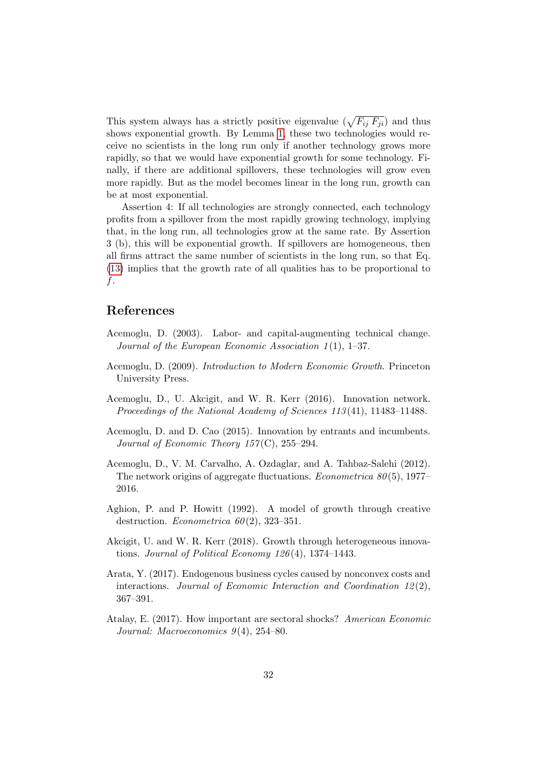This system always has a strictly positive eigenvalue  $(\sqrt{F_{ij} F_{ji}})$  and thus shows exponential growth. By Lemma [1,](#page-9-2) these two technologies would receive no scientists in the long run only if another technology grows more rapidly, so that we would have exponential growth for some technology. Finally, if there are additional spillovers, these technologies will grow even more rapidly. But as the model becomes linear in the long run, growth can be at most exponential.

Assertion 4: If all technologies are strongly connected, each technology profits from a spillover from the most rapidly growing technology, implying that, in the long run, all technologies grow at the same rate. By Assertion 3 (b), this will be exponential growth. If spillovers are homogeneous, then all firms attract the same number of scientists in the long run, so that Eq. [\(13\)](#page-8-1) implies that the growth rate of all qualities has to be proportional to f.

#### References

- <span id="page-32-8"></span>Acemoglu, D. (2003). Labor- and capital-augmenting technical change. Journal of the European Economic Association  $1(1)$ , 1–37.
- <span id="page-32-1"></span>Acemoglu, D. (2009). Introduction to Modern Economic Growth. Princeton University Press.
- <span id="page-32-3"></span>Acemoglu, D., U. Akcigit, and W. R. Kerr (2016). Innovation network. Proceedings of the National Academy of Sciences 113 (41), 11483–11488.
- <span id="page-32-2"></span>Acemoglu, D. and D. Cao (2015). Innovation by entrants and incumbents. Journal of Economic Theory  $157(C)$ ,  $255-294$ .
- <span id="page-32-4"></span>Acemoglu, D., V. M. Carvalho, A. Ozdaglar, and A. Tahbaz-Salehi (2012). The network origins of aggregate fluctuations. Econometrica 80 (5), 1977– 2016.
- <span id="page-32-0"></span>Aghion, P. and P. Howitt (1992). A model of growth through creative destruction. *Econometrica*  $60(2)$ , 323-351.
- <span id="page-32-5"></span>Akcigit, U. and W. R. Kerr (2018). Growth through heterogeneous innovations. Journal of Political Economy  $126(4)$ , 1374–1443.
- <span id="page-32-6"></span>Arata, Y. (2017). Endogenous business cycles caused by nonconvex costs and interactions. Journal of Economic Interaction and Coordination  $12(2)$ , 367–391.
- <span id="page-32-7"></span>Atalay, E. (2017). How important are sectoral shocks? American Economic Journal: Macroeconomics 9(4), 254–80.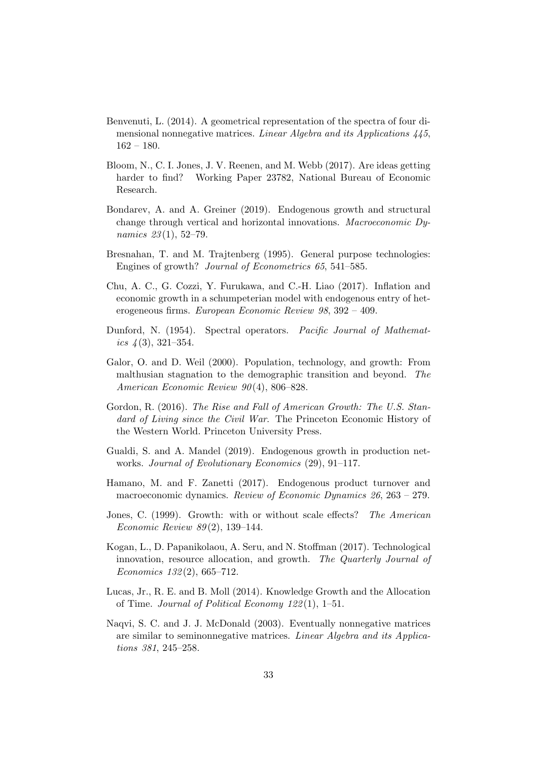- <span id="page-33-10"></span>Benvenuti, L. (2014). A geometrical representation of the spectra of four dimensional nonnegative matrices. Linear Algebra and its Applications 445, 162 – 180.
- <span id="page-33-8"></span>Bloom, N., C. I. Jones, J. V. Reenen, and M. Webb (2017). Are ideas getting harder to find? Working Paper 23782, National Bureau of Economic Research.
- <span id="page-33-9"></span>Bondarev, A. and A. Greiner (2019). Endogenous growth and structural change through vertical and horizontal innovations. Macroeconomic Dynamics 23(1), 52-79.
- <span id="page-33-5"></span>Bresnahan, T. and M. Trajtenberg (1995). General purpose technologies: Engines of growth? Journal of Econometrics 65, 541–585.
- <span id="page-33-3"></span>Chu, A. C., G. Cozzi, Y. Furukawa, and C.-H. Liao (2017). Inflation and economic growth in a schumpeterian model with endogenous entry of heterogeneous firms. European Economic Review 98, 392 – 409.
- <span id="page-33-12"></span>Dunford, N. (1954). Spectral operators. Pacific Journal of Mathematics  $\mu(3)$ , 321–354.
- <span id="page-33-1"></span>Galor, O. and D. Weil (2000). Population, technology, and growth: From malthusian stagnation to the demographic transition and beyond. The American Economic Review 90 (4), 806–828.
- <span id="page-33-7"></span>Gordon, R. (2016). The Rise and Fall of American Growth: The U.S. Standard of Living since the Civil War. The Princeton Economic History of the Western World. Princeton University Press.
- <span id="page-33-6"></span>Gualdi, S. and A. Mandel (2019). Endogenous growth in production networks. Journal of Evolutionary Economics (29), 91–117.
- <span id="page-33-4"></span>Hamano, M. and F. Zanetti (2017). Endogenous product turnover and macroeconomic dynamics. Review of Economic Dynamics 26, 263 – 279.
- <span id="page-33-0"></span>Jones, C. (1999). Growth: with or without scale effects? The American Economic Review 89 (2), 139–144.
- <span id="page-33-13"></span>Kogan, L., D. Papanikolaou, A. Seru, and N. Stoffman (2017). Technological innovation, resource allocation, and growth. The Quarterly Journal of Economics 132 (2), 665–712.
- <span id="page-33-2"></span>Lucas, Jr., R. E. and B. Moll (2014). Knowledge Growth and the Allocation of Time. Journal of Political Economy 122 (1), 1–51.
- <span id="page-33-11"></span>Naqvi, S. C. and J. J. McDonald (2003). Eventually nonnegative matrices are similar to seminonnegative matrices. Linear Algebra and its Applications 381, 245–258.